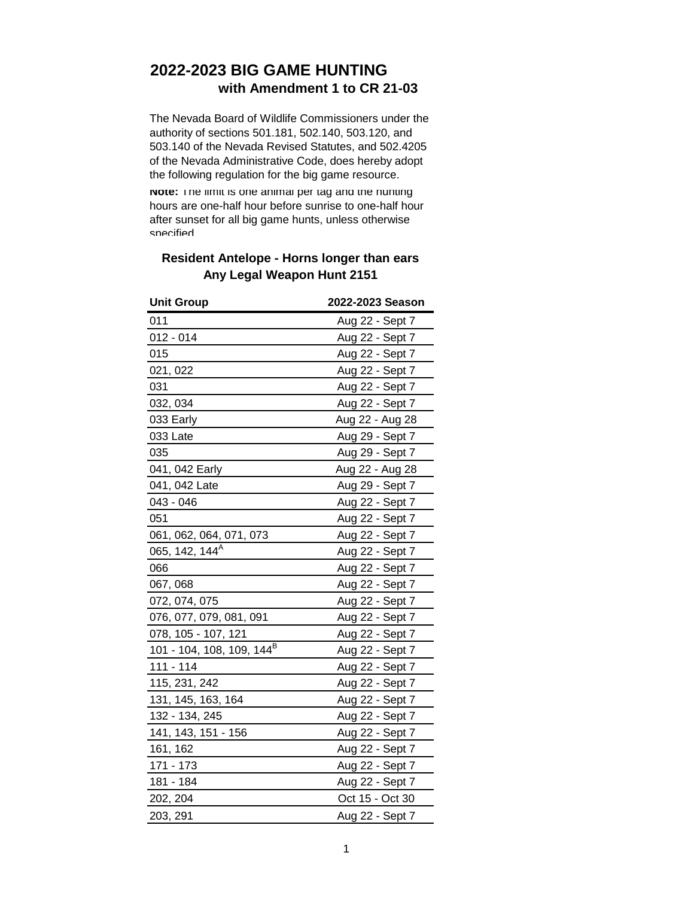# **2022-2023 BIG GAME HUNTING with Amendment 1 to CR 21-03**

The Nevada Board of Wildlife Commissioners under the authority of sections 501.181, 502.140, 503.120, and 503.140 of the Nevada Revised Statutes, and 502.4205 of the Nevada Administrative Code, does hereby adopt the following regulation for the big game resource.

**NOTE:** The limit is one animal per tag and the nunting hours are one-half hour before sunrise to one-half hour after sunset for all big game hunts, unless otherwise specified.

| <b>Unit Group</b>                     | 2022-2023 Season |
|---------------------------------------|------------------|
| 011                                   | Aug 22 - Sept 7  |
| $012 - 014$                           | Aug 22 - Sept 7  |
| 015                                   | Aug 22 - Sept 7  |
| 021, 022                              | Aug 22 - Sept 7  |
| 031                                   | Aug 22 - Sept 7  |
| 032, 034                              | Aug 22 - Sept 7  |
| 033 Early                             | Aug 22 - Aug 28  |
| 033 Late                              | Aug 29 - Sept 7  |
| 035                                   | Aug 29 - Sept 7  |
| 041, 042 Early                        | Aug 22 - Aug 28  |
| 041, 042 Late                         | Aug 29 - Sept 7  |
| 043 - 046                             | Aug 22 - Sept 7  |
| 051                                   | Aug 22 - Sept 7  |
| 061, 062, 064, 071, 073               | Aug 22 - Sept 7  |
| 065, 142, 144 <sup>A</sup>            | Aug 22 - Sept 7  |
| 066                                   | Aug 22 - Sept 7  |
| 067,068                               | Aug 22 - Sept 7  |
| 072, 074, 075                         | Aug 22 - Sept 7  |
| 076, 077, 079, 081, 091               | Aug 22 - Sept 7  |
| 078, 105 - 107, 121                   | Aug 22 - Sept 7  |
| 101 - 104, 108, 109, 144 <sup>B</sup> | Aug 22 - Sept 7  |
| $111 - 114$                           | Aug 22 - Sept 7  |
| 115, 231, 242                         | Aug 22 - Sept 7  |
| 131, 145, 163, 164                    | Aug 22 - Sept 7  |
| 132 - 134, 245                        | Aug 22 - Sept 7  |
| 141, 143, 151 - 156                   | Aug 22 - Sept 7  |
| 161, 162                              | Aug 22 - Sept 7  |
| 171 - 173                             | Aug 22 - Sept 7  |
| 181 - 184                             | Aug 22 - Sept 7  |
| 202, 204                              | Oct 15 - Oct 30  |
| 203, 291                              | Aug 22 - Sept 7  |

## **Resident Antelope - Horns longer than ears Any Legal Weapon Hunt 2151**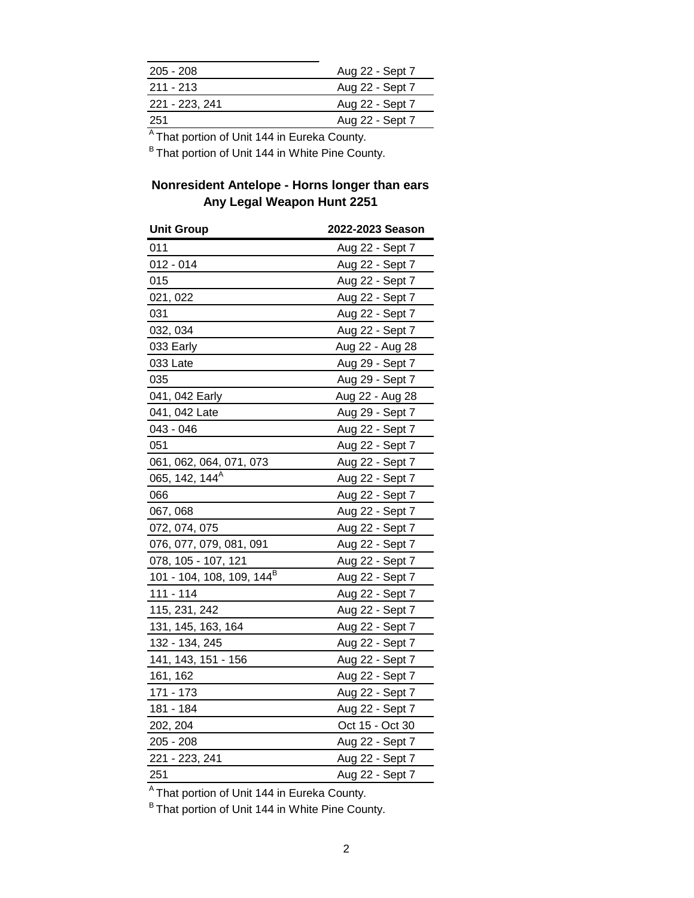| $205 - 208$    | Aug 22 - Sept 7 |
|----------------|-----------------|
| $211 - 213$    | Aug 22 - Sept 7 |
| 221 - 223. 241 | Aug 22 - Sept 7 |
| -251           | Aug 22 - Sept 7 |
| $\sim$ $\sim$  |                 |

<sup>A</sup> That portion of Unit 144 in Eureka County.

<sup>B</sup> That portion of Unit 144 in White Pine County.

#### **Nonresident Antelope - Horns longer than ears Any Legal Weapon Hunt 2251**

| <b>Unit Group</b>                     | 2022-2023 Season |
|---------------------------------------|------------------|
| 011                                   | Aug 22 - Sept 7  |
| $012 - 014$                           | Aug 22 - Sept 7  |
| 015                                   | Aug 22 - Sept 7  |
| 021, 022                              | Aug 22 - Sept 7  |
| 031                                   | Aug 22 - Sept 7  |
| 032, 034                              | Aug 22 - Sept 7  |
| 033 Early                             | Aug 22 - Aug 28  |
| 033 Late                              | Aug 29 - Sept 7  |
| 035                                   | Aug 29 - Sept 7  |
| 041, 042 Early                        | Aug 22 - Aug 28  |
| 041, 042 Late                         | Aug 29 - Sept 7  |
| 043 - 046                             | Aug 22 - Sept 7  |
| 051                                   | Aug 22 - Sept 7  |
| 061, 062, 064, 071, 073               | Aug 22 - Sept 7  |
| 065, 142, 144 <sup>A</sup>            | Aug 22 - Sept 7  |
| 066                                   | Aug 22 - Sept 7  |
| 067, 068                              | Aug 22 - Sept 7  |
| 072, 074, 075                         | Aug 22 - Sept 7  |
| 076, 077, 079, 081, 091               | Aug 22 - Sept 7  |
| 078, 105 - 107, 121                   | Aug 22 - Sept 7  |
| 101 - 104, 108, 109, 144 <sup>B</sup> | Aug 22 - Sept 7  |
| $111 - 114$                           | Aug 22 - Sept 7  |
| 115, 231, 242                         | Aug 22 - Sept 7  |
| 131, 145, 163, 164                    | Aug 22 - Sept 7  |
| 132 - 134, 245                        | Aug 22 - Sept 7  |
| 141, 143, 151 - 156                   | Aug 22 - Sept 7  |
| 161, 162                              | Aug 22 - Sept 7  |
| 171 - 173                             | Aug 22 - Sept 7  |
| 181 - 184                             | Aug 22 - Sept 7  |
| 202, 204                              | Oct 15 - Oct 30  |
| $205 - 208$                           | Aug 22 - Sept 7  |
| 221 - 223, 241                        | Aug 22 - Sept 7  |
| 251                                   | Aug 22 - Sept 7  |

A That portion of Unit 144 in Eureka County.

<sup>B</sup> That portion of Unit 144 in White Pine County.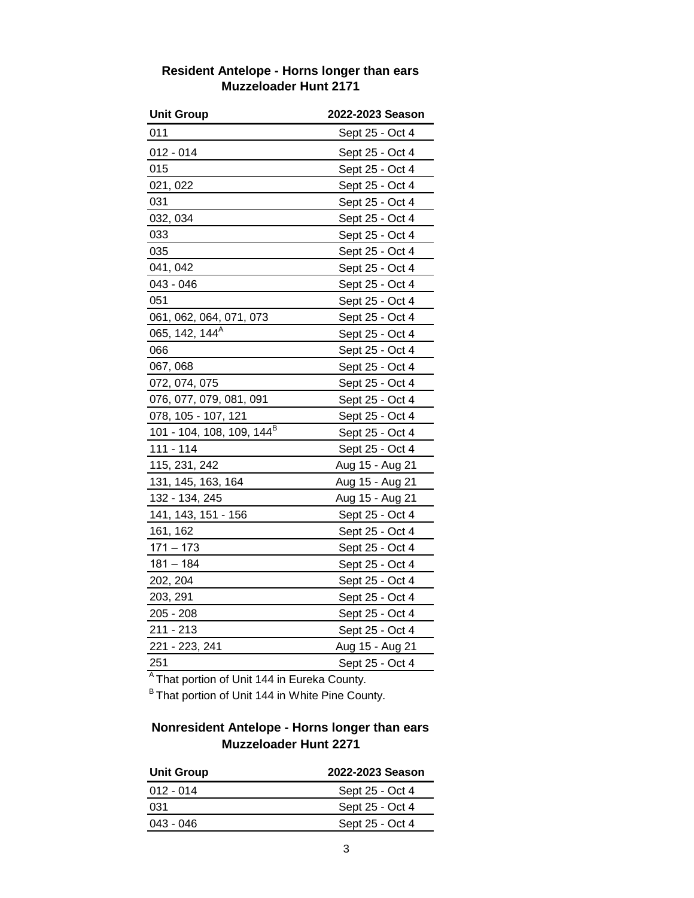## **Resident Antelope - Horns longer than ears Muzzeloader Hunt 2171**

| <b>Unit Group</b>                     | 2022-2023 Season |
|---------------------------------------|------------------|
| 011                                   | Sept 25 - Oct 4  |
| $012 - 014$                           | Sept 25 - Oct 4  |
| 015                                   | Sept 25 - Oct 4  |
| 021, 022                              | Sept 25 - Oct 4  |
| 031                                   | Sept 25 - Oct 4  |
| 032, 034                              | Sept 25 - Oct 4  |
| 033                                   | Sept 25 - Oct 4  |
| 035                                   | Sept 25 - Oct 4  |
| 041, 042                              | Sept 25 - Oct 4  |
| 043 - 046                             | Sept 25 - Oct 4  |
| 051                                   | Sept 25 - Oct 4  |
| 061, 062, 064, 071, 073               | Sept 25 - Oct 4  |
| 065, 142, 144 <sup>A</sup>            | Sept 25 - Oct 4  |
| 066                                   | Sept 25 - Oct 4  |
| 067, 068                              | Sept 25 - Oct 4  |
| 072, 074, 075                         | Sept 25 - Oct 4  |
| 076, 077, 079, 081, 091               | Sept 25 - Oct 4  |
| 078, 105 - 107, 121                   | Sept 25 - Oct 4  |
| 101 - 104, 108, 109, 144 <sup>B</sup> | Sept 25 - Oct 4  |
| $111 - 114$                           | Sept 25 - Oct 4  |
| 115, 231, 242                         | Aug 15 - Aug 21  |
| 131, 145, 163, 164                    | Aug 15 - Aug 21  |
| 132 - 134, 245                        | Aug 15 - Aug 21  |
| 141, 143, 151 - 156                   | Sept 25 - Oct 4  |
| 161, 162                              | Sept 25 - Oct 4  |
| $171 - 173$                           | Sept 25 - Oct 4  |
| $181 - 184$                           | Sept 25 - Oct 4  |
| 202, 204                              | Sept 25 - Oct 4  |
| 203, 291                              | Sept 25 - Oct 4  |
| 205 - 208                             | Sept 25 - Oct 4  |
| $211 - 213$                           | Sept 25 - Oct 4  |
| 221 - 223, 241                        | Aug 15 - Aug 21  |
| 251                                   | Sept 25 - Oct 4  |

<sup>A</sup> That portion of Unit 144 in Eureka County.

<sup>B</sup> That portion of Unit 144 in White Pine County.

#### **Nonresident Antelope - Horns longer than ears Muzzeloader Hunt 2271**

| <b>Unit Group</b> | 2022-2023 Season |
|-------------------|------------------|
| $012 - 014$       | Sept 25 - Oct 4  |
| 031               | Sept 25 - Oct 4  |
| $043 - 046$       | Sept 25 - Oct 4  |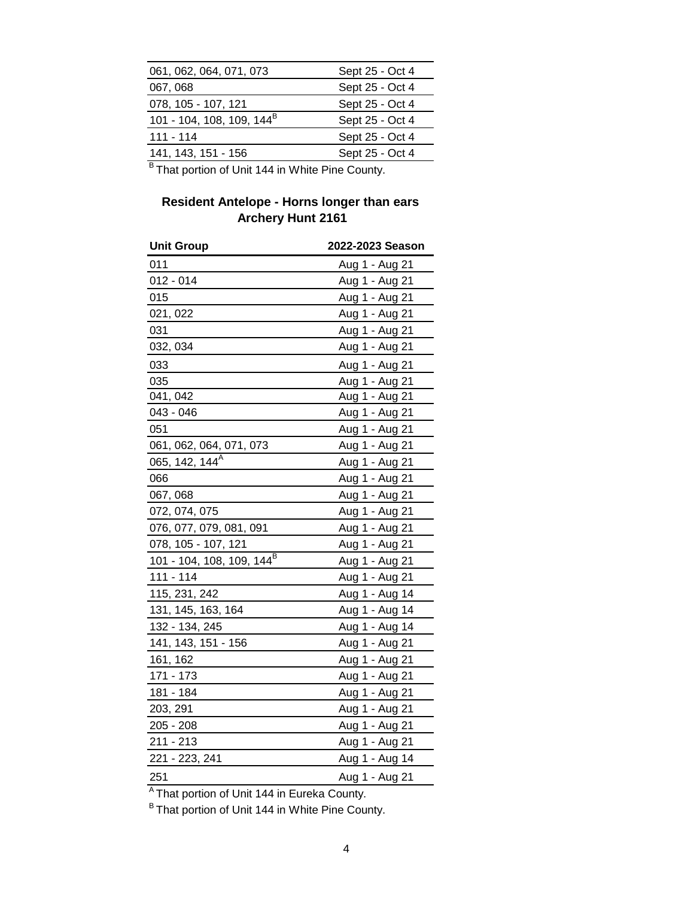| 061, 062, 064, 071, 073               | Sept 25 - Oct 4 |
|---------------------------------------|-----------------|
| 067, 068                              | Sept 25 - Oct 4 |
| 078, 105 - 107, 121                   | Sept 25 - Oct 4 |
| 101 - 104, 108, 109, 144 <sup>B</sup> | Sept 25 - Oct 4 |
| $111 - 114$                           | Sept 25 - Oct 4 |
| 141, 143, 151 - 156                   | Sept 25 - Oct 4 |
| R<br>.                                |                 |

B That portion of Unit 144 in White Pine County.

#### **Resident Antelope - Horns longer than ears Archery Hunt 2161**

| <b>Unit Group</b>                     | 2022-2023 Season |
|---------------------------------------|------------------|
| 011                                   | Aug 1 - Aug 21   |
| $012 - 014$                           | Aug 1 - Aug 21   |
| 015                                   | Aug 1 - Aug 21   |
| 021, 022                              | Aug 1 - Aug 21   |
| 031                                   | Aug 1 - Aug 21   |
| 032, 034                              | Aug 1 - Aug 21   |
| 033                                   | Aug 1 - Aug 21   |
| 035                                   | Aug 1 - Aug 21   |
| 041, 042                              | Aug 1 - Aug 21   |
| 043 - 046                             | Aug 1 - Aug 21   |
| 051                                   | Aug 1 - Aug 21   |
| 061, 062, 064, 071, 073               | Aug 1 - Aug 21   |
| 065, 142, 144 <sup>A</sup>            | Aug 1 - Aug 21   |
| 066                                   | Aug 1 - Aug 21   |
| 067, 068                              | Aug 1 - Aug 21   |
| 072, 074, 075                         | Aug 1 - Aug 21   |
| 076, 077, 079, 081, 091               | Aug 1 - Aug 21   |
| 078, 105 - 107, 121                   | Aug 1 - Aug 21   |
| 101 - 104, 108, 109, 144 <sup>B</sup> | Aug 1 - Aug 21   |
| $111 - 114$                           | Aug 1 - Aug 21   |
| 115, 231, 242                         | Aug 1 - Aug 14   |
| 131, 145, 163, 164                    | Aug 1 - Aug 14   |
| 132 - 134, 245                        | Aug 1 - Aug 14   |
| 141, 143, 151 - 156                   | Aug 1 - Aug 21   |
| 161, 162                              | Aug 1 - Aug 21   |
| $171 - 173$                           | Aug 1 - Aug 21   |
| 181 - 184                             | Aug 1 - Aug 21   |
| 203, 291                              | Aug 1 - Aug 21   |
| 205 - 208                             | Aug 1 - Aug 21   |
| $211 - 213$                           | Aug 1 - Aug 21   |
| 221 - 223, 241                        | Aug 1 - Aug 14   |
| 251                                   | Aug 1 - Aug 21   |

<sup>A</sup> That portion of Unit 144 in Eureka County.

<sup>B</sup> That portion of Unit 144 in White Pine County.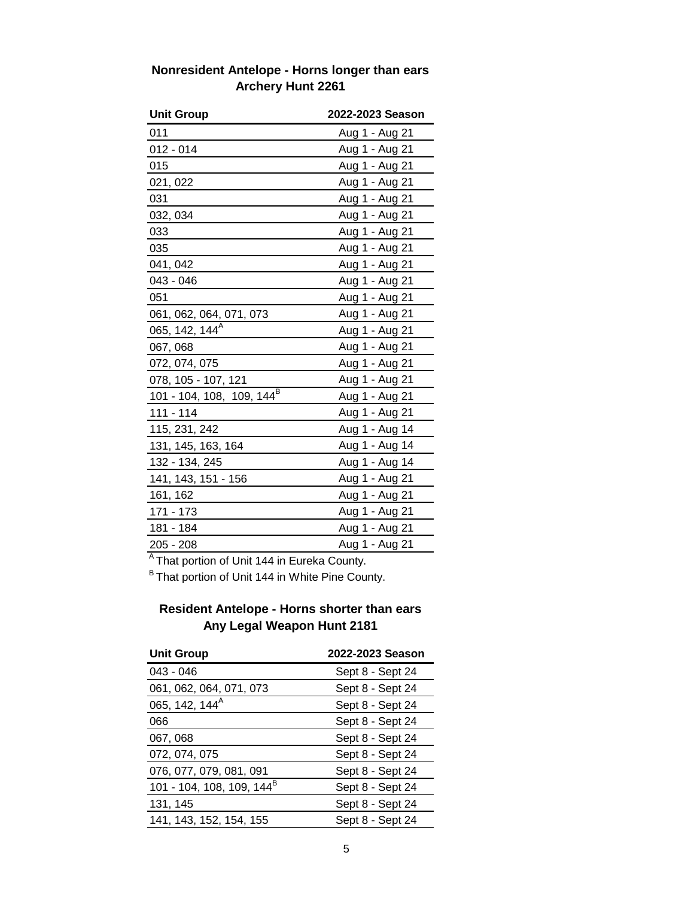| Nonresident Antelope - Horns longer than ears |  |
|-----------------------------------------------|--|
| <b>Archery Hunt 2261</b>                      |  |

| <b>Unit Group</b>                     | 2022-2023 Season |
|---------------------------------------|------------------|
| 011                                   | Aug 1 - Aug 21   |
| $012 - 014$                           | Aug 1 - Aug 21   |
| 015                                   | Aug 1 - Aug 21   |
| 021, 022                              | Aug 1 - Aug 21   |
| 031                                   | Aug 1 - Aug 21   |
| 032, 034                              | Aug 1 - Aug 21   |
| 033                                   | Aug 1 - Aug 21   |
| 035                                   | Aug 1 - Aug 21   |
| 041, 042                              | Aug 1 - Aug 21   |
| $043 - 046$                           | Aug 1 - Aug 21   |
| 051                                   | Aug 1 - Aug 21   |
| 061, 062, 064, 071, 073               | Aug 1 - Aug 21   |
| 065, 142, 144 <sup>A</sup>            | Aug 1 - Aug 21   |
| 067, 068                              | Aug 1 - Aug 21   |
| 072, 074, 075                         | Aug 1 - Aug 21   |
| 078, 105 - 107, 121                   | Aug 1 - Aug 21   |
| 101 - 104, 108, 109, 144 <sup>B</sup> | Aug 1 - Aug 21   |
| $111 - 114$                           | Aug 1 - Aug 21   |
| 115, 231, 242                         | Aug 1 - Aug 14   |
| 131, 145, 163, 164                    | Aug 1 - Aug 14   |
| 132 - 134, 245                        | Aug 1 - Aug 14   |
| 141, 143, 151 - 156                   | Aug 1 - Aug 21   |
| 161, 162                              | Aug 1 - Aug 21   |
| 171 - 173                             | Aug 1 - Aug 21   |
| 181 - 184                             | Aug 1 - Aug 21   |
| 205 - 208                             | Aug 1 - Aug 21   |

<sup>A</sup> That portion of Unit 144 in Eureka County.

B That portion of Unit 144 in White Pine County.

#### **Resident Antelope - Horns shorter than ears Any Legal Weapon Hunt 2181**

| <b>Unit Group</b>                     | 2022-2023 Season |
|---------------------------------------|------------------|
| 043 - 046                             | Sept 8 - Sept 24 |
| 061, 062, 064, 071, 073               | Sept 8 - Sept 24 |
| 065, 142, 144 <sup>A</sup>            | Sept 8 - Sept 24 |
| 066                                   | Sept 8 - Sept 24 |
| 067, 068                              | Sept 8 - Sept 24 |
| 072, 074, 075                         | Sept 8 - Sept 24 |
| 076, 077, 079, 081, 091               | Sept 8 - Sept 24 |
| 101 - 104, 108, 109, 144 <sup>B</sup> | Sept 8 - Sept 24 |
| 131, 145                              | Sept 8 - Sept 24 |
| 141, 143, 152, 154, 155               | Sept 8 - Sept 24 |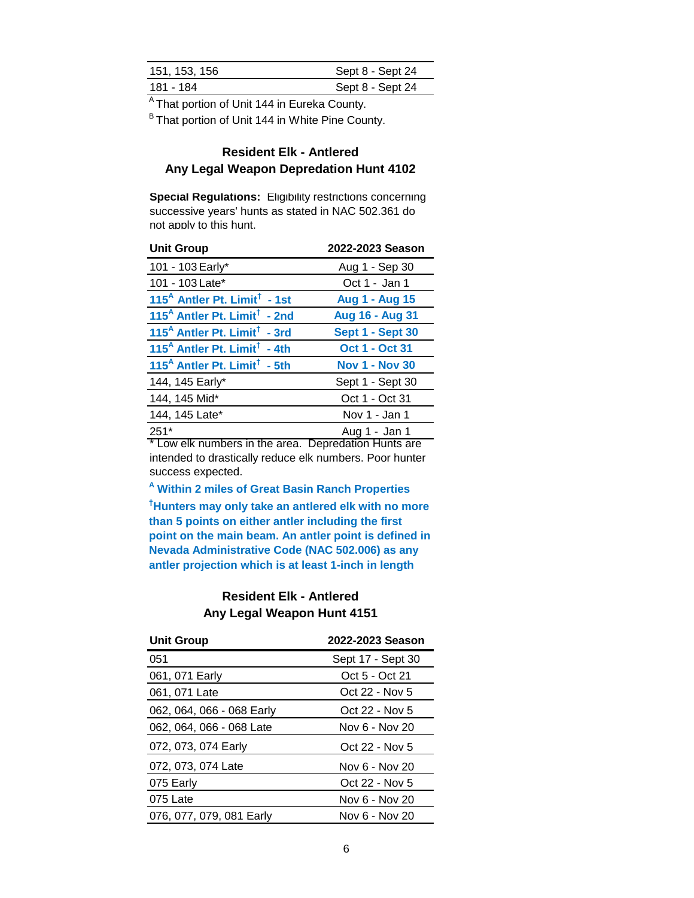| 151, 153, 156 | Sept 8 - Sept 24 |
|---------------|------------------|
| 181 - 184     | Sept 8 - Sept 24 |

<sup>A</sup> That portion of Unit 144 in Eureka County.

B That portion of Unit 144 in White Pine County.

## **Any Legal Weapon Depredation Hunt 4102 Resident Elk - Antlered**

**Special Regulations:** Eligibility restrictions concerning successive years' hunts as stated in NAC 502.361 do not apply to this hunt.

| <b>Unit Group</b>                                    | 2022-2023 Season       |
|------------------------------------------------------|------------------------|
| 101 - 103 Early*                                     | Aug 1 - Sep 30         |
| 101 - 103 Late*                                      | Oct 1 - Jan 1          |
| 115 <sup>A</sup> Antler Pt. Limit <sup>†</sup> - 1st | <b>Aug 1 - Aug 15</b>  |
| 115 <sup>A</sup> Antler Pt. Limit <sup>†</sup> - 2nd | Aug 16 - Aug 31        |
| 115 <sup>A</sup> Antler Pt. Limit <sup>†</sup> - 3rd | Sept 1 - Sept 30       |
| 115 <sup>A</sup> Antler Pt. Limit <sup>†</sup> - 4th | Oct 1 - Oct 31         |
| 115 <sup>A</sup> Antler Pt. Limit <sup>†</sup> - 5th | <b>Nov 1 - Nov 30</b>  |
| 144, 145 Early*                                      | Sept 1 - Sept 30       |
| 144, 145 Mid*                                        | Oct 1 - Oct 31         |
| 144, 145 Late*                                       | Nov 1 - Jan 1          |
| $251*$                                               | Aug 1 - Jan 1          |
| * Laurally proposed in the over                      | Denvedetian Urunte eve |

Low elk numbers in the area. Depredation Hunts are intended to drastically reduce elk numbers. Poor hunter success expected.

**A Within 2 miles of Great Basin Ranch Properties** 

**† Hunters may only take an antlered elk with no more than 5 points on either antler including the first point on the main beam. An antler point is defined in Nevada Administrative Code (NAC 502.006) as any antler projection which is at least 1-inch in length** 

## **Any Legal Weapon Hunt 4151 Resident Elk - Antlered**

| <b>Unit Group</b>         | 2022-2023 Season  |
|---------------------------|-------------------|
| 051                       | Sept 17 - Sept 30 |
| 061, 071 Early            | Oct 5 - Oct 21    |
| 061, 071 Late             | Oct 22 - Nov 5    |
| 062, 064, 066 - 068 Early | Oct 22 - Nov 5    |
| 062, 064, 066 - 068 Late  | Nov 6 - Nov 20    |
| 072, 073, 074 Early       | Oct 22 - Nov 5    |
| 072, 073, 074 Late        | Nov 6 - Nov 20    |
| 075 Early                 | Oct 22 - Nov 5    |
| 075 Late                  | Nov 6 - Nov 20    |
| 076, 077, 079, 081 Early  | Nov 6 - Nov 20    |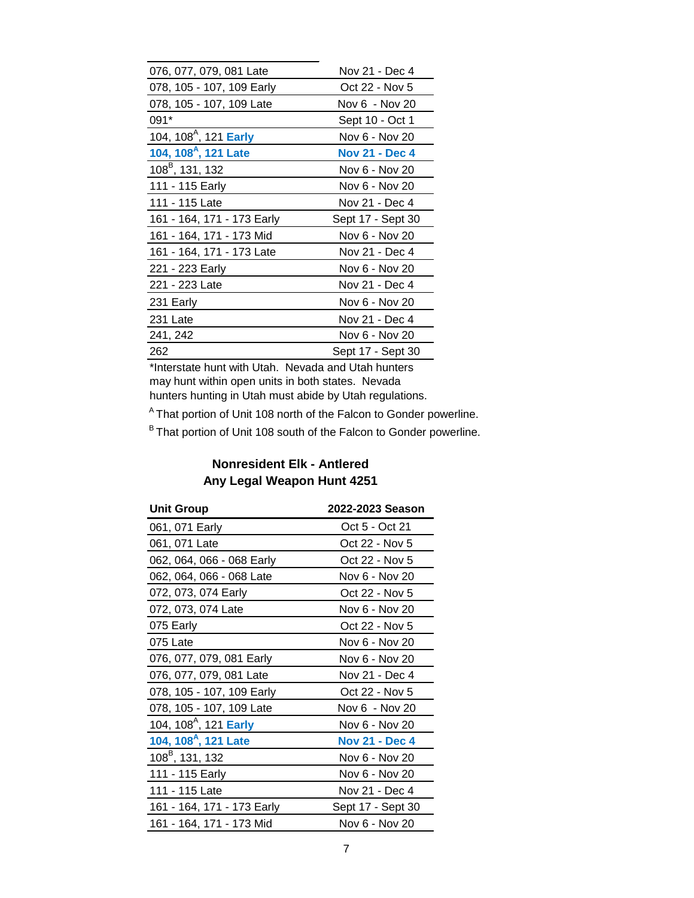| 076, 077, 079, 081 Late           | Nov 21 - Dec 4        |
|-----------------------------------|-----------------------|
| 078, 105 - 107, 109 Early         | Oct 22 - Nov 5        |
| 078, 105 - 107, 109 Late          | Nov 6 - Nov 20        |
| 091*                              | Sept 10 - Oct 1       |
| 104, 108 <sup>A</sup> , 121 Early | Nov 6 - Nov 20        |
| 104, 108 <sup>A</sup> , 121 Late  | <b>Nov 21 - Dec 4</b> |
| $108^B$ , 131, 132                | Nov 6 - Nov 20        |
| 111 - 115 Early                   | Nov 6 - Nov 20        |
| 111 - 115 Late                    | Nov 21 - Dec 4        |
|                                   |                       |
| 161 - 164, 171 - 173 Early        | Sept 17 - Sept 30     |
| 161 - 164, 171 - 173 Mid          | Nov 6 - Nov 20        |
| 161 - 164, 171 - 173 Late         | Nov 21 - Dec 4        |
| 221 - 223 Early                   | Nov 6 - Nov 20        |
| 221 - 223 Late                    | Nov 21 - Dec 4        |
| 231 Early                         | Nov 6 - Nov 20        |
| 231 Late                          | Nov 21 - Dec 4        |
| 241, 242                          | Nov 6 - Nov 20        |

\*Interstate hunt with Utah. Nevada and Utah hunters may hunt within open units in both states. Nevada hunters hunting in Utah must abide by Utah regulations.

<sup>A</sup> That portion of Unit 108 north of the Falcon to Gonder powerline.

B That portion of Unit 108 south of the Falcon to Gonder powerline.

#### **Nonresident Elk - Antlered Any Legal Weapon Hunt 4251**

| <b>Unit Group</b>                        | 2022-2023 Season      |
|------------------------------------------|-----------------------|
| 061, 071 Early                           | Oct 5 - Oct 21        |
| 061, 071 Late                            | Oct 22 - Nov 5        |
| 062, 064, 066 - 068 Early                | Oct 22 - Nov 5        |
| 062, 064, 066 - 068 Late                 | Nov 6 - Nov 20        |
| 072, 073, 074 Early                      | Oct 22 - Nov 5        |
| 072, 073, 074 Late                       | Nov 6 - Nov 20        |
| 075 Early                                | Oct 22 - Nov 5        |
| 075 Late                                 | Nov 6 - Nov 20        |
| 076, 077, 079, 081 Early                 | Nov 6 - Nov 20        |
| 076, 077, 079, 081 Late                  | Nov 21 - Dec 4        |
| 078, 105 - 107, 109 Early                | Oct 22 - Nov 5        |
| 078, 105 - 107, 109 Late                 | Nov 6 - Nov 20        |
| 104, 108 <sup>A</sup> , 121 <b>Early</b> | Nov 6 - Nov 20        |
| 104, 108 <sup>A</sup> , 121 Late         | <b>Nov 21 - Dec 4</b> |
| 108 <sup>B</sup> , 131, 132              | Nov 6 - Nov 20        |
| 111 - 115 Early                          | Nov 6 - Nov 20        |
| 111 - 115 Late                           | Nov 21 - Dec 4        |
| 161 - 164, 171 - 173 Early               | Sept 17 - Sept 30     |
| 161 - 164, 171 - 173 Mid                 | Nov 6 - Nov 20        |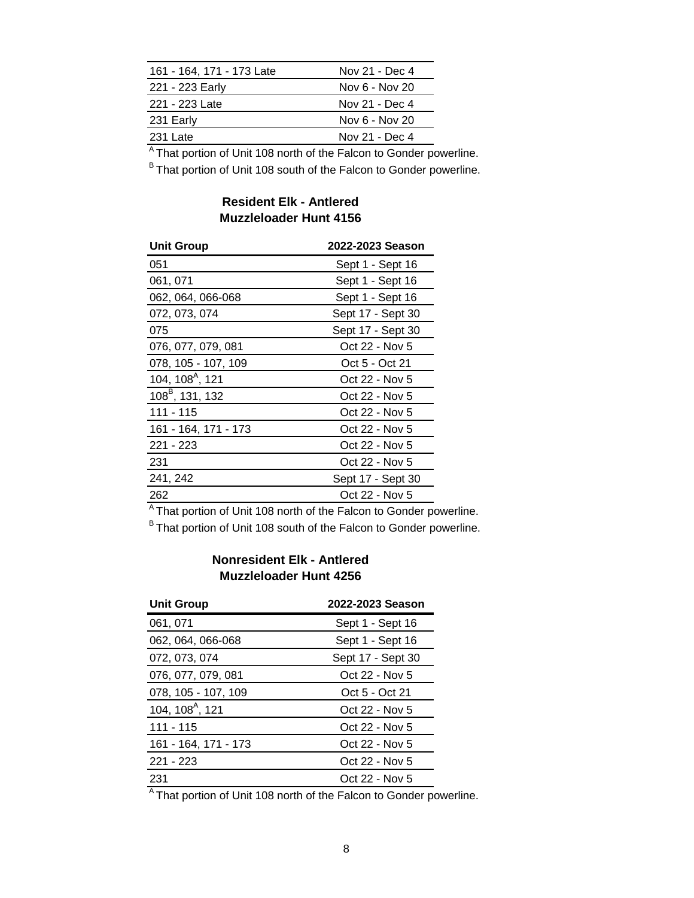| 161 - 164, 171 - 173 Late | Nov 21 - Dec 4 |
|---------------------------|----------------|
| 221 - 223 Early           | Nov 6 - Nov 20 |
| 221 - 223 Late            | Nov 21 - Dec 4 |
| 231 Early                 | Nov 6 - Nov 20 |
| $231$ Late                | Nov 21 - Dec 4 |

<sup>A</sup> That portion of Unit 108 north of the Falcon to Gonder powerline.

B That portion of Unit 108 south of the Falcon to Gonder powerline.

## **Resident Elk - Antlered Muzzleloader Hunt 4156**

| <b>Unit Group</b>           | 2022-2023 Season  |
|-----------------------------|-------------------|
| 051                         | Sept 1 - Sept 16  |
| 061, 071                    | Sept 1 - Sept 16  |
| 062, 064, 066-068           | Sept 1 - Sept 16  |
| 072, 073, 074               | Sept 17 - Sept 30 |
| 075                         | Sept 17 - Sept 30 |
| 076, 077, 079, 081          | Oct 22 - Nov 5    |
| 078, 105 - 107, 109         | Oct 5 - Oct 21    |
| 104, 108 <sup>A</sup> , 121 | Oct 22 - Nov 5    |
| 108 <sup>B</sup> , 131, 132 | Oct 22 - Nov 5    |
| 111 - 115                   | Oct 22 - Nov 5    |
| 161 - 164, 171 - 173        | Oct 22 - Nov 5    |
| 221 - 223                   | Oct 22 - Nov 5    |
| 231                         | Oct 22 - Nov 5    |
| 241, 242                    | Sept 17 - Sept 30 |
| 262                         | Oct 22 - Nov 5    |

<sup>A</sup> That portion of Unit 108 north of the Falcon to Gonder powerline. <sup>B</sup> That portion of Unit 108 south of the Falcon to Gonder powerline.

## **Nonresident Elk - Antlered Muzzleloader Hunt 4256**

| <b>Unit Group</b>           | 2022-2023 Season  |
|-----------------------------|-------------------|
| 061, 071                    | Sept 1 - Sept 16  |
| 062, 064, 066-068           | Sept 1 - Sept 16  |
| 072, 073, 074               | Sept 17 - Sept 30 |
| 076, 077, 079, 081          | Oct 22 - Nov 5    |
| 078, 105 - 107, 109         | Oct 5 - Oct 21    |
| 104, 108 <sup>A</sup> , 121 | Oct 22 - Nov 5    |
| 111 - 115                   | Oct 22 - Nov 5    |
| 161 - 164, 171 - 173        | Oct 22 - Nov 5    |
| $221 - 223$                 | Oct 22 - Nov 5    |
| 231                         | Oct 22 - Nov 5    |
| $\sim$                      |                   |

 $\overline{A}$ That portion of Unit 108 north of the Falcon to Gonder powerline.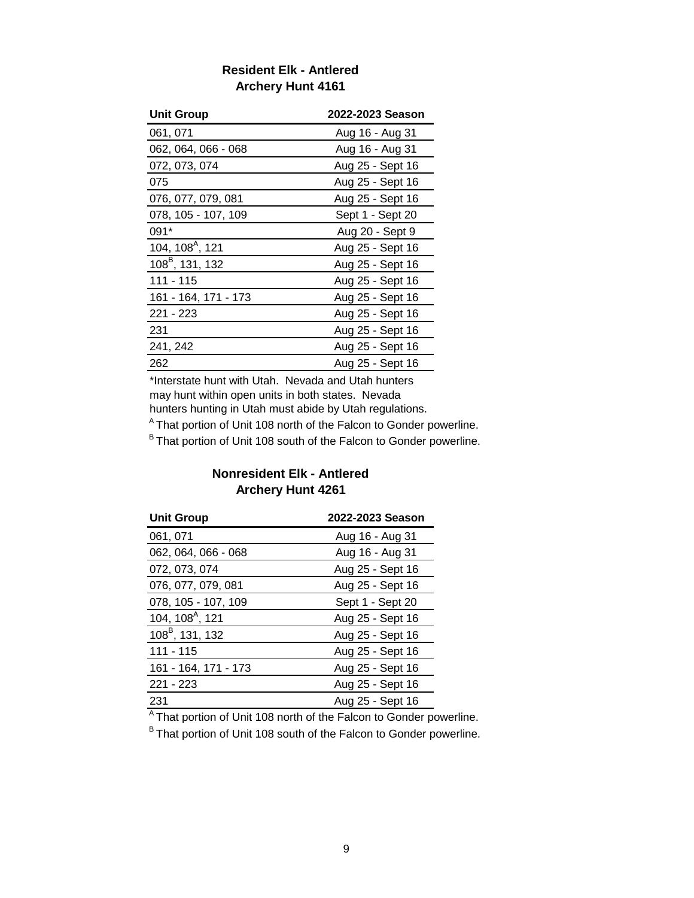#### **Resident Elk - Antlered Archery Hunt 4161**

| <b>Unit Group</b>           | 2022-2023 Season |
|-----------------------------|------------------|
| 061, 071                    | Aug 16 - Aug 31  |
| 062, 064, 066 - 068         | Aug 16 - Aug 31  |
| 072, 073, 074               | Aug 25 - Sept 16 |
| 075                         | Aug 25 - Sept 16 |
| 076, 077, 079, 081          | Aug 25 - Sept 16 |
| 078, 105 - 107, 109         | Sept 1 - Sept 20 |
| $091*$                      | Aug 20 - Sept 9  |
| 104, 108 <sup>A</sup> , 121 | Aug 25 - Sept 16 |
| $108^B$ , 131, 132          | Aug 25 - Sept 16 |
| 111 - 115                   | Aug 25 - Sept 16 |
| 161 - 164, 171 - 173        | Aug 25 - Sept 16 |
| 221 - 223                   | Aug 25 - Sept 16 |
| 231                         | Aug 25 - Sept 16 |
| 241, 242                    | Aug 25 - Sept 16 |
| 262                         | Aug 25 - Sept 16 |

\*Interstate hunt with Utah. Nevada and Utah hunters may hunt within open units in both states. Nevada hunters hunting in Utah must abide by Utah regulations. <sup>A</sup> That portion of Unit 108 north of the Falcon to Gonder powerline.

B That portion of Unit 108 south of the Falcon to Gonder powerline.

# **Nonresident Elk - Antlered**

#### **Archery Hunt 4261**

| <b>Unit Group</b>           | 2022-2023 Season |
|-----------------------------|------------------|
| 061, 071                    | Aug 16 - Aug 31  |
| 062, 064, 066 - 068         | Aug 16 - Aug 31  |
| 072, 073, 074               | Aug 25 - Sept 16 |
| 076, 077, 079, 081          | Aug 25 - Sept 16 |
| 078, 105 - 107, 109         | Sept 1 - Sept 20 |
| 104, 108 <sup>A</sup> , 121 | Aug 25 - Sept 16 |
| 108 <sup>B</sup> , 131, 132 | Aug 25 - Sept 16 |
| 111 - 115                   | Aug 25 - Sept 16 |
| 161 - 164, 171 - 173        | Aug 25 - Sept 16 |
| 221 - 223                   | Aug 25 - Sept 16 |
| 231                         | Aug 25 - Sept 16 |

A That portion of Unit 108 north of the Falcon to Gonder powerline.

B That portion of Unit 108 south of the Falcon to Gonder powerline.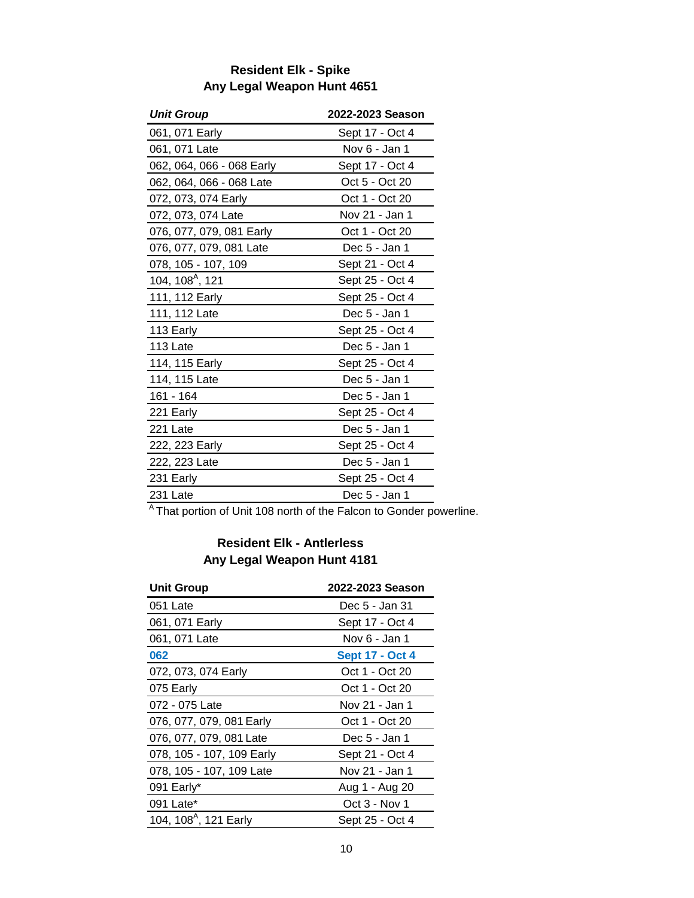## **Any Legal Weapon Hunt 4651 Resident Elk - Spike**

| <b>Unit Group</b>           | 2022-2023 Season |
|-----------------------------|------------------|
| 061, 071 Early              | Sept 17 - Oct 4  |
| 061, 071 Late               | Nov 6 - Jan 1    |
| 062, 064, 066 - 068 Early   | Sept 17 - Oct 4  |
| 062, 064, 066 - 068 Late    | Oct 5 - Oct 20   |
| 072, 073, 074 Early         | Oct 1 - Oct 20   |
| 072, 073, 074 Late          | Nov 21 - Jan 1   |
| 076, 077, 079, 081 Early    | Oct 1 - Oct 20   |
| 076, 077, 079, 081 Late     | Dec 5 - Jan 1    |
| 078, 105 - 107, 109         | Sept 21 - Oct 4  |
| 104, 108 <sup>A</sup> , 121 | Sept 25 - Oct 4  |
| 111, 112 Early              | Sept 25 - Oct 4  |
| 111, 112 Late               | Dec 5 - Jan 1    |
| 113 Early                   | Sept 25 - Oct 4  |
| 113 Late                    | Dec 5 - Jan 1    |
| 114, 115 Early              | Sept 25 - Oct 4  |
| 114, 115 Late               | Dec 5 - Jan 1    |
| 161 - 164                   | Dec 5 - Jan 1    |
| 221 Early                   | Sept 25 - Oct 4  |
| 221 Late                    | Dec 5 - Jan 1    |
| 222, 223 Early              | Sept 25 - Oct 4  |
| 222, 223 Late               | Dec 5 - Jan 1    |
| 231 Early                   | Sept 25 - Oct 4  |
| 231 Late                    | Dec 5 - Jan 1    |

<sup>A</sup> That portion of Unit 108 north of the Falcon to Gonder powerline.

## **Any Legal Weapon Hunt 4181 Resident Elk - Antlerless**

| <b>Unit Group</b>                 | 2022-2023 Season       |
|-----------------------------------|------------------------|
| 051 Late                          | Dec 5 - Jan 31         |
| 061, 071 Early                    | Sept 17 - Oct 4        |
| 061, 071 Late                     | Nov 6 - Jan 1          |
| 062                               | <b>Sept 17 - Oct 4</b> |
| 072, 073, 074 Early               | Oct 1 - Oct 20         |
| 075 Early                         | Oct 1 - Oct 20         |
| 072 - 075 Late                    | Nov 21 - Jan 1         |
| 076, 077, 079, 081 Early          | Oct 1 - Oct 20         |
| 076, 077, 079, 081 Late           | Dec 5 - Jan 1          |
| 078, 105 - 107, 109 Early         | Sept 21 - Oct 4        |
| 078, 105 - 107, 109 Late          | Nov 21 - Jan 1         |
| 091 Early*                        | Aug 1 - Aug 20         |
| 091 Late*                         | Oct 3 - Nov 1          |
| 104, 108 <sup>A</sup> , 121 Early | Sept 25 - Oct 4        |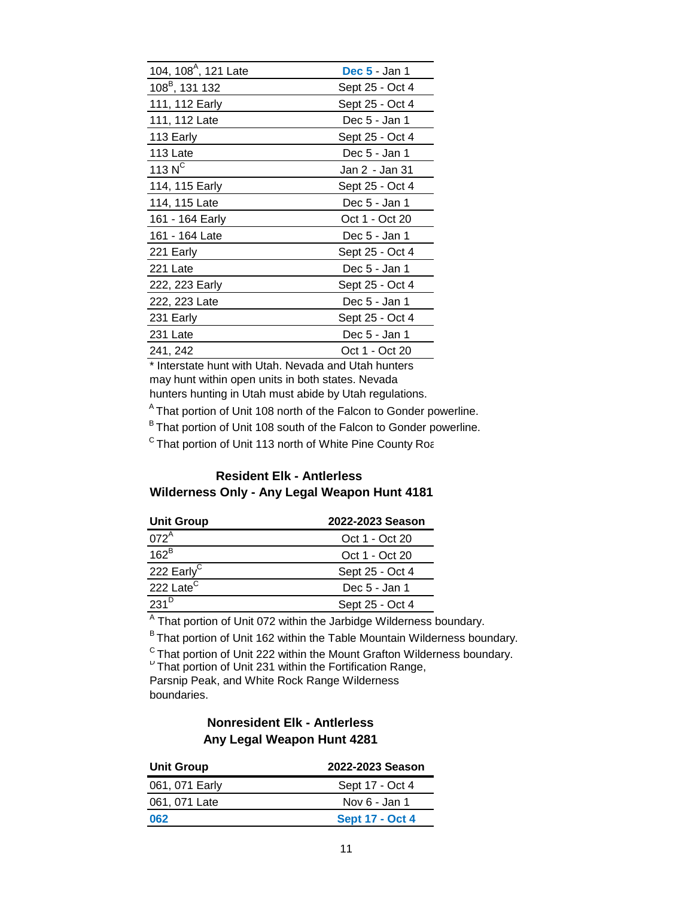| 104, 108 <sup>A</sup> , 121 Late | <b>Dec 5 - Jan 1</b> |
|----------------------------------|----------------------|
| 108 <sup>B</sup> , 131 132       | Sept 25 - Oct 4      |
| 111, 112 Early                   | Sept 25 - Oct 4      |
| 111, 112 Late                    | Dec 5 - Jan 1        |
| 113 Early                        | Sept 25 - Oct 4      |
| 113 Late                         | Dec 5 - Jan 1        |
| 113 $N^C$                        | Jan 2 - Jan 31       |
| 114, 115 Early                   | Sept 25 - Oct 4      |
| 114, 115 Late                    | Dec 5 - Jan 1        |
| 161 - 164 Early                  | Oct 1 - Oct 20       |
| 161 - 164 Late                   | Dec 5 - Jan 1        |
| 221 Early                        | Sept 25 - Oct 4      |
| 221 Late                         | Dec 5 - Jan 1        |
| 222, 223 Early                   | Sept 25 - Oct 4      |
| 222, 223 Late                    | Dec 5 - Jan 1        |
| 231 Early                        | Sept 25 - Oct 4      |
| 231 Late                         | Dec 5 - Jan 1        |
| 241, 242                         | Oct 1 - Oct 20       |

\* Interstate hunt with Utah. Nevada and Utah hunters may hunt within open units in both states. Nevada hunters hunting in Utah must abide by Utah regulations.

<sup>A</sup> That portion of Unit 108 north of the Falcon to Gonder powerline.

B That portion of Unit 108 south of the Falcon to Gonder powerline.

 $\textdegree$  That portion of Unit 113 north of White Pine County Roa

## **Wilderness Only - Any Legal Weapon Hunt 4181 Resident Elk - Antlerless**

| <b>Unit Group</b>      | 2022-2023 Season |
|------------------------|------------------|
| 072 <sup>A</sup>       | Oct 1 - Oct 20   |
| $162^B$                | Oct 1 - Oct 20   |
| 222 Early <sup>C</sup> | Sept 25 - Oct 4  |
| 222 Late <sup>C</sup>  | Dec 5 - Jan 1    |
| $231^D$                | Sept 25 - Oct 4  |

<sup>A</sup> That portion of Unit 072 within the Jarbidge Wilderness boundary.

B That portion of Unit 162 within the Table Mountain Wilderness boundary.

 $\frac{C}{D}$  That portion of Unit 222 within the Mount Grafton Wilderness boundary.<br>"That portion of Unit 231 within the Fortification Range,

Parsnip Peak, and White Rock Range Wilderness boundaries.

## **Any Legal Weapon Hunt 4281 Nonresident Elk - Antlerless**

| <b>Unit Group</b> | 2022-2023 Season       |
|-------------------|------------------------|
| 061, 071 Early    | Sept 17 - Oct 4        |
| 061, 071 Late     | Nov 6 - Jan 1          |
| 062               | <b>Sept 17 - Oct 4</b> |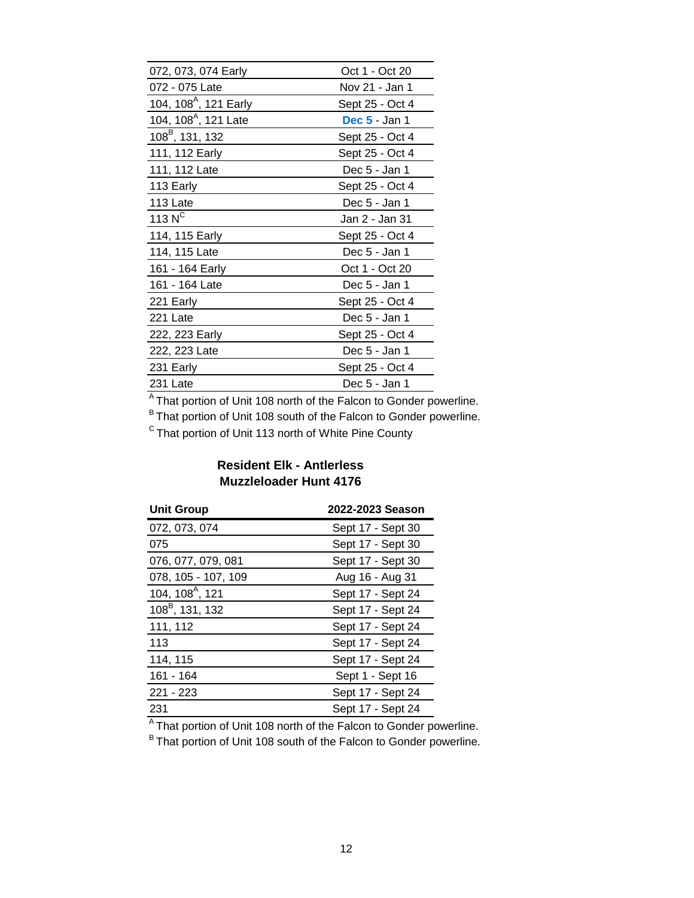| 072, 073, 074 Early               | Oct 1 - Oct 20       |
|-----------------------------------|----------------------|
| 072 - 075 Late                    | Nov 21 - Jan 1       |
| 104, 108 <sup>A</sup> , 121 Early | Sept 25 - Oct 4      |
| 104, 108 <sup>A</sup> , 121 Late  | <b>Dec 5 - Jan 1</b> |
| 108 <sup>B</sup> , 131, 132       | Sept 25 - Oct 4      |
| 111, 112 Early                    | Sept 25 - Oct 4      |
| 111, 112 Late                     | Dec 5 - Jan 1        |
| 113 Early                         | Sept 25 - Oct 4      |
| 113 Late                          | Dec 5 - Jan 1        |
| 113 $N^C$                         | Jan 2 - Jan 31       |
| 114, 115 Early                    | Sept 25 - Oct 4      |
| 114, 115 Late                     | Dec 5 - Jan 1        |
| 161 - 164 Early                   | Oct 1 - Oct 20       |
| 161 - 164 Late                    | Dec 5 - Jan 1        |
| 221 Early                         | Sept 25 - Oct 4      |
| 221 Late                          | Dec 5 - Jan 1        |
| 222, 223 Early                    | Sept 25 - Oct 4      |
| 222, 223 Late                     | Dec 5 - Jan 1        |
| 231 Early                         | Sept 25 - Oct 4      |
| 231 Late                          | Dec 5 - Jan 1        |

A That portion of Unit 108 north of the Falcon to Gonder powerline.

B That portion of Unit 108 south of the Falcon to Gonder powerline.

 $\overline{C}$  That portion of Unit 113 north of White Pine County

## **Resident Elk - Antlerless Muzzleloader Hunt 4176**

| <b>Unit Group</b>           | 2022-2023 Season  |
|-----------------------------|-------------------|
| 072, 073, 074               | Sept 17 - Sept 30 |
| 075                         | Sept 17 - Sept 30 |
| 076, 077, 079, 081          | Sept 17 - Sept 30 |
| 078, 105 - 107, 109         | Aug 16 - Aug 31   |
| 104, 108 <sup>A</sup> , 121 | Sept 17 - Sept 24 |
| $108^B$ , 131, 132          | Sept 17 - Sept 24 |
| 111, 112                    | Sept 17 - Sept 24 |
| 113                         | Sept 17 - Sept 24 |
| 114, 115                    | Sept 17 - Sept 24 |
| 161 - 164                   | Sept 1 - Sept 16  |
| $221 - 223$                 | Sept 17 - Sept 24 |
| 231                         | Sept 17 - Sept 24 |

A That portion of Unit 108 north of the Falcon to Gonder powerline.

B That portion of Unit 108 south of the Falcon to Gonder powerline.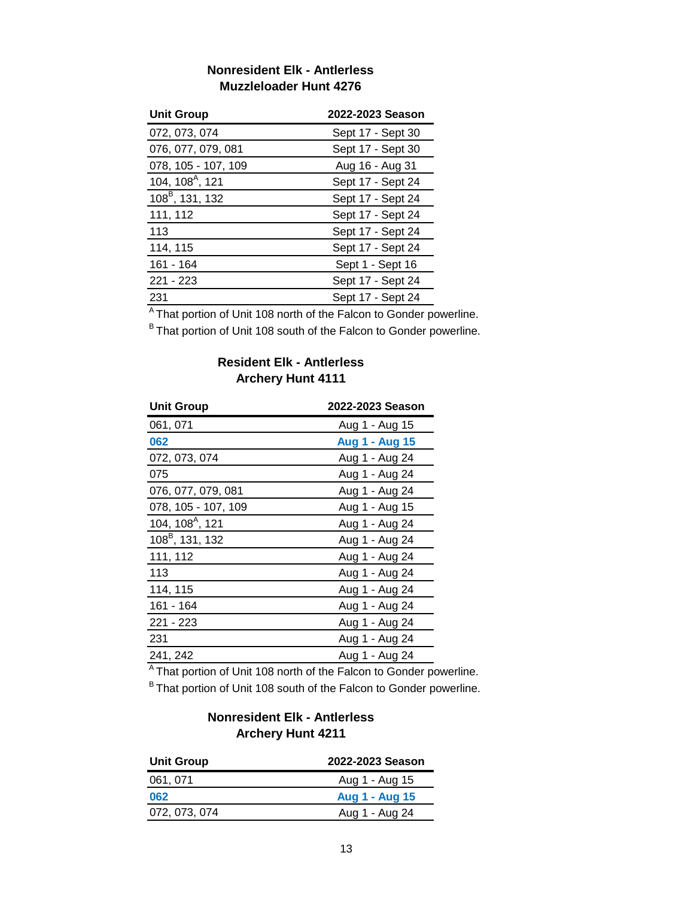## **Nonresident Elk - Antlerless Muzzleloader Hunt 4276**

| <b>Unit Group</b>           | 2022-2023 Season  |
|-----------------------------|-------------------|
| 072, 073, 074               | Sept 17 - Sept 30 |
| 076, 077, 079, 081          | Sept 17 - Sept 30 |
| 078, 105 - 107, 109         | Aug 16 - Aug 31   |
| 104, 108 <sup>A</sup> , 121 | Sept 17 - Sept 24 |
| 108 <sup>B</sup> , 131, 132 | Sept 17 - Sept 24 |
| 111, 112                    | Sept 17 - Sept 24 |
| 113                         | Sept 17 - Sept 24 |
| 114, 115                    | Sept 17 - Sept 24 |
| 161 - 164                   | Sept 1 - Sept 16  |
| $221 - 223$                 | Sept 17 - Sept 24 |
| 231                         | Sept 17 - Sept 24 |

A That portion of Unit 108 north of the Falcon to Gonder powerline.

B That portion of Unit 108 south of the Falcon to Gonder powerline.

## **Archery Hunt 4111 Resident Elk - Antlerless**

| <b>Unit Group</b>           | 2022-2023 Season |
|-----------------------------|------------------|
| 061, 071                    | Aug 1 - Aug 15   |
| 062                         | Aug 1 - Aug 15   |
| 072, 073, 074               | Aug 1 - Aug 24   |
| 075                         | Aug 1 - Aug 24   |
| 076, 077, 079, 081          | Aug 1 - Aug 24   |
| 078, 105 - 107, 109         | Aug 1 - Aug 15   |
| 104, 108 <sup>A</sup> , 121 | Aug 1 - Aug 24   |
| 108 <sup>B</sup> , 131, 132 | Aug 1 - Aug 24   |
| 111, 112                    | Aug 1 - Aug 24   |
| 113                         | Aug 1 - Aug 24   |
| 114, 115                    | Aug 1 - Aug 24   |
| 161 - 164                   | Aug 1 - Aug 24   |
| 221 - 223                   | Aug 1 - Aug 24   |
| 231                         | Aug 1 - Aug 24   |
| 241, 242                    | Aug 1 - Aug 24   |
|                             |                  |

A That portion of Unit 108 north of the Falcon to Gonder powerline.

B That portion of Unit 108 south of the Falcon to Gonder powerline.

## **Archery Hunt 4211 Nonresident Elk - Antlerless**

| <b>Unit Group</b> | 2022-2023 Season |
|-------------------|------------------|
| 061, 071          | Aug 1 - Aug 15   |
| 062               | Aug 1 - Aug 15   |
| 072, 073, 074     | Aug 1 - Aug 24   |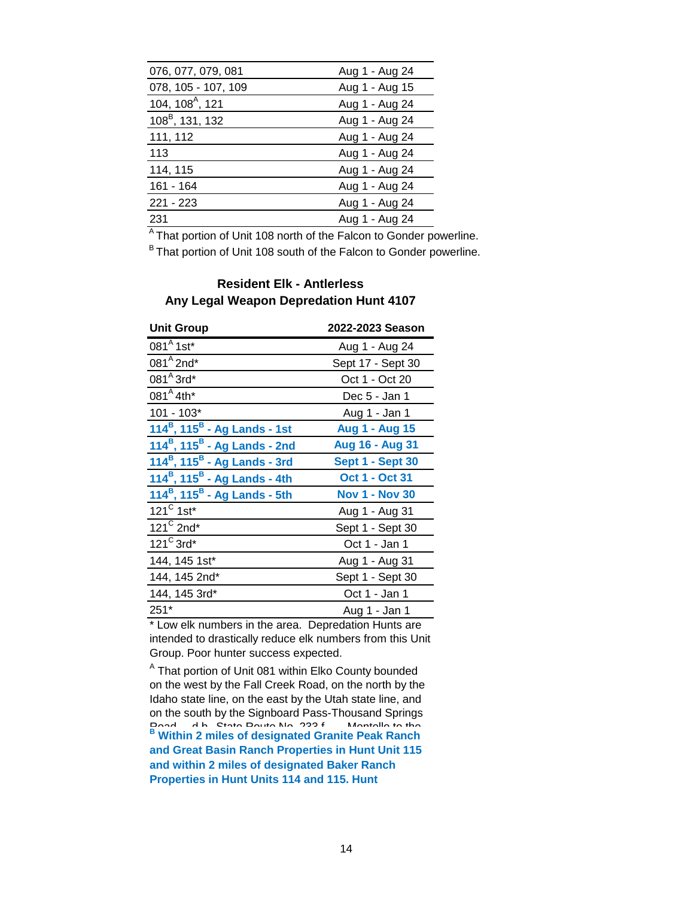| Aug 1 - Aug 24 |
|----------------|
| Aug 1 - Aug 15 |
| Aug 1 - Aug 24 |
| Aug 1 - Aug 24 |
| Aug 1 - Aug 24 |
| Aug 1 - Aug 24 |
| Aug 1 - Aug 24 |
| Aug 1 - Aug 24 |
| Aug 1 - Aug 24 |
| Aug 1 - Aug 24 |
|                |

<sup>A</sup> That portion of Unit 108 north of the Falcon to Gonder powerline.

B That portion of Unit 108 south of the Falcon to Gonder powerline.

## **Any Legal Weapon Depredation Hunt 4107 Resident Elk - Antlerless**

| <b>Unit Group</b>                                    | 2022-2023 Season      |
|------------------------------------------------------|-----------------------|
| $081^A$ 1st*                                         | Aug 1 - Aug 24        |
| $081^A$ 2nd*                                         | Sept 17 - Sept 30     |
| $081^{A}$ 3rd*                                       | Oct 1 - Oct 20        |
| 081 <sup>A</sup> 4th*                                | Dec 5 - Jan 1         |
| $101 - 103*$                                         | Aug 1 - Jan 1         |
| 114 <sup>B</sup> , 115 <sup>B</sup> - Ag Lands - 1st | <b>Aug 1 - Aug 15</b> |
| $114^B$ , $115^B$ - Ag Lands - 2nd                   | Aug 16 - Aug 31       |
| 114 <sup>B</sup> , 115 <sup>B</sup> - Ag Lands - 3rd | Sept 1 - Sept 30      |
| 114 <sup>B</sup> , 115 <sup>B</sup> - Ag Lands - 4th | Oct 1 - Oct 31        |
| 114 <sup>B</sup> , 115 <sup>B</sup> - Ag Lands - 5th | <b>Nov 1 - Nov 30</b> |
| $121^{\circ}$ 1st <sup>*</sup>                       | Aug 1 - Aug 31        |
| $121^{\circ}$ 2nd*                                   | Sept 1 - Sept 30      |
| $121^{\circ}$ 3rd*                                   | Oct 1 - Jan 1         |
| 144, 145 1st*                                        | Aug 1 - Aug 31        |
| 144, 145 2nd*                                        | Sept 1 - Sept 30      |
| 144, 145 3rd*                                        | Oct 1 - Jan 1         |
| $251*$                                               | Aug 1 - Jan 1         |

\* Low elk numbers in the area. Depredation Hunts are intended to drastically reduce elk numbers from this Unit Group. Poor hunter success expected.

<sup>A</sup> That portion of Unit 081 within Elko County bounded on the west by the Fall Creek Road, on the north by the Idaho state line, on the east by the Utah state line, and on the south by the Signboard Pass-Thousand Springs Road d b State Route No. 233 f Montello to the **<sup>B</sup> Within 2 miles of designated Granite Peak Ranch and Great Basin Ranch Properties in Hunt Unit 115 and within 2 miles of designated Baker Ranch Properties in Hunt Units 114 and 115. Hunt**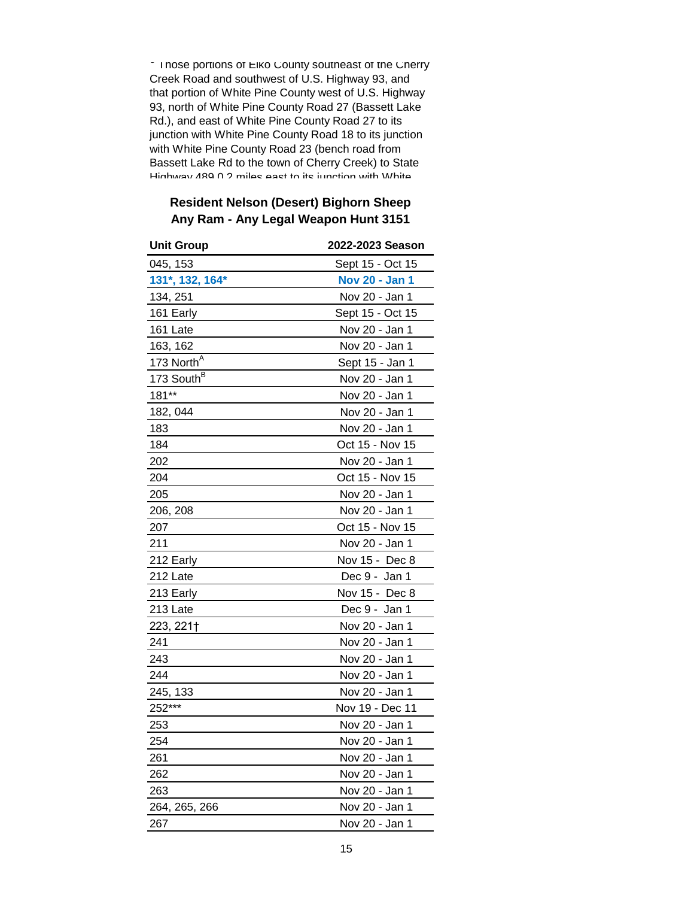I hose portions of Elko County southeast of the Cherry Creek Road and southwest of U.S. Highway 93, and that portion of White Pine County west of U.S. Highway 93, north of White Pine County Road 27 (Bassett Lake Rd.), and east of White Pine County Road 27 to its junction with White Pine County Road 18 to its junction with White Pine County Road 23 (bench road from Bassett Lake Rd to the town of Cherry Creek) to State Highway 480 0.2 miles east to its junction with White

#### **Resident Nelson (Desert) Bighorn Sheep Any Ram - Any Legal Weapon Hunt 3151**

| <b>Unit Group</b>      | 2022-2023 Season |
|------------------------|------------------|
| 045, 153               | Sept 15 - Oct 15 |
| 131*, 132, 164*        | Nov 20 - Jan 1   |
| 134, 251               | Nov 20 - Jan 1   |
| 161 Early              | Sept 15 - Oct 15 |
| 161 Late               | Nov 20 - Jan 1   |
| 163, 162               | Nov 20 - Jan 1   |
| 173 North <sup>A</sup> | Sept 15 - Jan 1  |
| 173 South <sup>B</sup> | Nov 20 - Jan 1   |
| 181**                  | Nov 20 - Jan 1   |
| 182, 044               | Nov 20 - Jan 1   |
| 183                    | Nov 20 - Jan 1   |
| 184                    | Oct 15 - Nov 15  |
| 202                    | Nov 20 - Jan 1   |
| 204                    | Oct 15 - Nov 15  |
| 205                    | Nov 20 - Jan 1   |
| 206, 208               | Nov 20 - Jan 1   |
| 207                    | Oct 15 - Nov 15  |
| 211                    | Nov 20 - Jan 1   |
| 212 Early              | Nov 15 - Dec 8   |
| 212 Late               | Dec 9 - Jan 1    |
| 213 Early              | Nov 15 - Dec 8   |
| 213 Late               | Dec 9 - Jan 1    |
| 223, 221†              | Nov 20 - Jan 1   |
| 241                    | Nov 20 - Jan 1   |
| 243                    | Nov 20 - Jan 1   |
| 244                    | Nov 20 - Jan 1   |
| 245, 133               | Nov 20 - Jan 1   |
| 252***                 | Nov 19 - Dec 11  |
| 253                    | Nov 20 - Jan 1   |
| 254                    | Nov 20 - Jan 1   |
| 261                    | Nov 20 - Jan 1   |
| 262                    | Nov 20 - Jan 1   |
| 263                    | Nov 20 - Jan 1   |
| 264, 265, 266          | Nov 20 - Jan 1   |
| 267                    | Nov 20 - Jan 1   |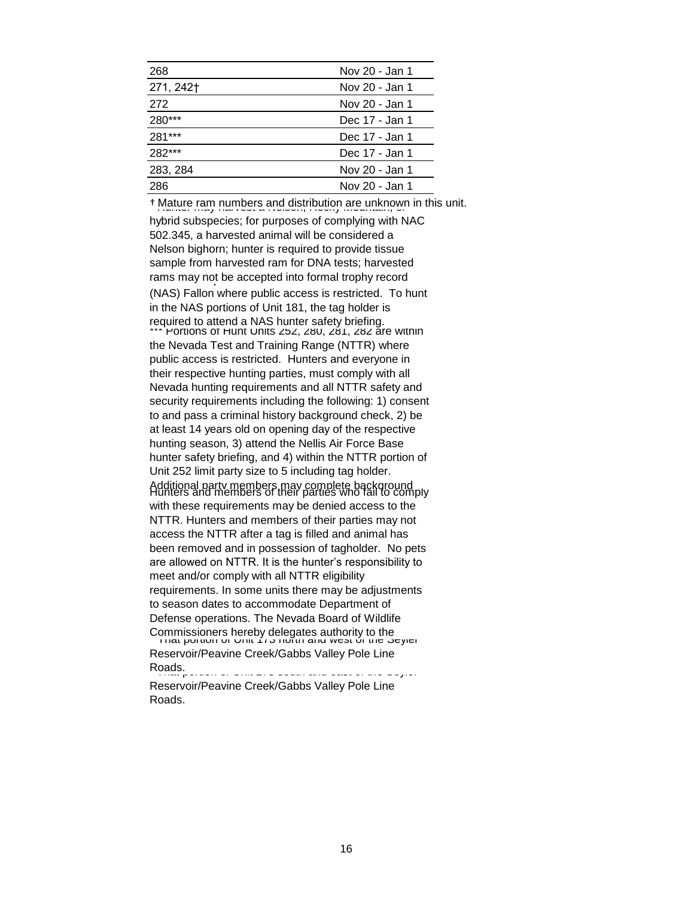| 268       | Nov 20 - Jan 1 |
|-----------|----------------|
| 271, 242† | Nov 20 - Jan 1 |
| 272       | Nov 20 - Jan 1 |
| 280***    | Dec 17 - Jan 1 |
| 281***    | Dec 17 - Jan 1 |
| 282***    | Dec 17 - Jan 1 |
| 283, 284  | Nov 20 - Jan 1 |
| 286       | Nov 20 - Jan 1 |

<sup>†</sup> Mature ram numbers and distribution are unknown in this unit.

hybrid subspecies; for purposes of complying with NAC 502.345, a harvested animal will be considered a Nelson bighorn; hunter is required to provide tissue sample from harvested ram for DNA tests; harvested rams may not be accepted into formal trophy record

(NAS) Fallon where public access is restricted. To hunt in the NAS portions of Unit 181, the tag holder is required to attend a NAS hunter safety briefing.

 been removed and in possession of tagholder. No pets \*\*\* Portions of Hunt Units 252, 280, 281, 282 are within the Nevada Test and Training Range (NTTR) where public access is restricted. Hunters and everyone in their respective hunting parties, must comply with all Nevada hunting requirements and all NTTR safety and security requirements including the following: 1) consent to and pass a criminal history background check, 2) be at least 14 years old on opening day of the respective hunting season, 3) attend the Nellis Air Force Base hunter safety briefing, and 4) within the NTTR portion of Unit 252 limit party size to 5 including tag holder. Additional party members may complete background Hunters and members of their parties who fail to comply with these requirements may be denied access to the NTTR. Hunters and members of their parties may not access the NTTR after a tag is filled and animal has are allowed on NTTR. It is the hunter's responsibility to meet and/or comply with all NTTR eligibility requirements. In some units there may be adjustments to season dates to accommodate Department of Defense operations. The Nevada Board of Wildlife

Commissioners hereby delegates authority to the That portion of Unit 173 north and west of the Seyler Reservoir/Peavine Creek/Gabbs Valley Pole Line Roads.<br>That point 173 south 173 south and east of the Seyler

Reservoir/Peavine Creek/Gabbs Valley Pole Line Roads.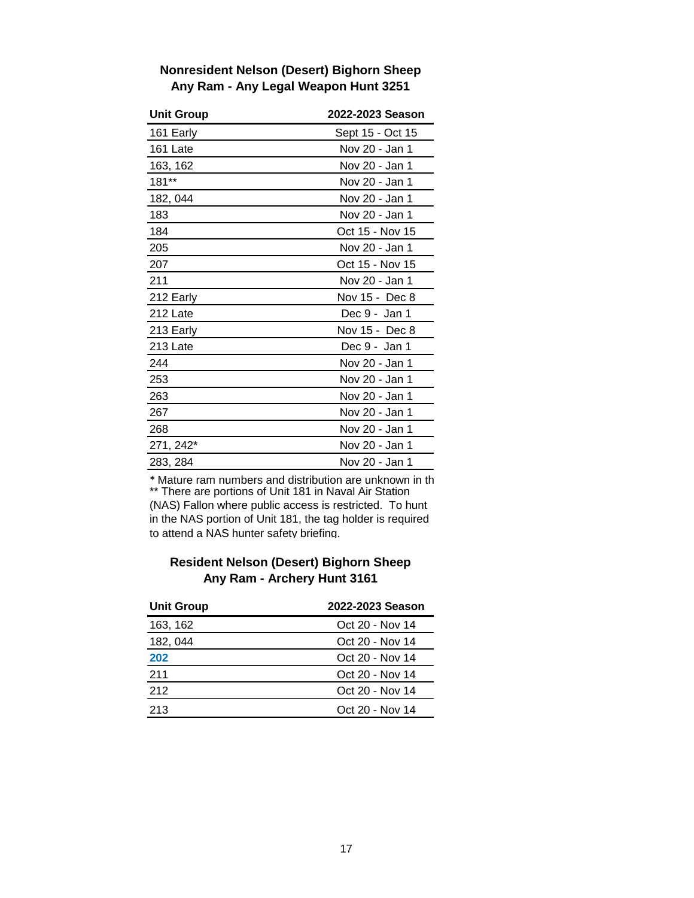## **Any Ram - Any Legal Weapon Hunt 3251 Nonresident Nelson (Desert) Bighorn Sheep**

| <b>Unit Group</b> | 2022-2023 Season |
|-------------------|------------------|
| 161 Early         | Sept 15 - Oct 15 |
| 161 Late          | Nov 20 - Jan 1   |
| 163, 162          | Nov 20 - Jan 1   |
| 181**             | Nov 20 - Jan 1   |
| 182, 044          | Nov 20 - Jan 1   |
| 183               | Nov 20 - Jan 1   |
| 184               | Oct 15 - Nov 15  |
| 205               | Nov 20 - Jan 1   |
| 207               | Oct 15 - Nov 15  |
| 211               | Nov 20 - Jan 1   |
| 212 Early         | Nov 15 - Dec 8   |
| 212 Late          | Dec 9 - Jan 1    |
| 213 Early         | Nov 15 - Dec 8   |
| 213 Late          | Dec 9 - Jan 1    |
| 244               | Nov 20 - Jan 1   |
| 253               | Nov 20 - Jan 1   |
| 263               | Nov 20 - Jan 1   |
| 267               | Nov 20 - Jan 1   |
| 268               | Nov 20 - Jan 1   |
| 271, 242*         | Nov 20 - Jan 1   |
| 283, 284          | Nov 20 - Jan 1   |

\* Mature ram numbers and distribution are unknown in th \*\* There are portions of Unit 181 in Naval Air Station (NAS) Fallon where public access is restricted. To hunt in the NAS portion of Unit 181, the tag holder is required to attend a NAS hunter safety briefing.

#### **Resident Nelson (Desert) Bighorn Sheep Any Ram - Archery Hunt 3161**

| 2022-2023 Season |
|------------------|
| Oct 20 - Nov 14  |
| Oct 20 - Nov 14  |
| Oct 20 - Nov 14  |
| Oct 20 - Nov 14  |
| Oct 20 - Nov 14  |
| Oct 20 - Nov 14  |
|                  |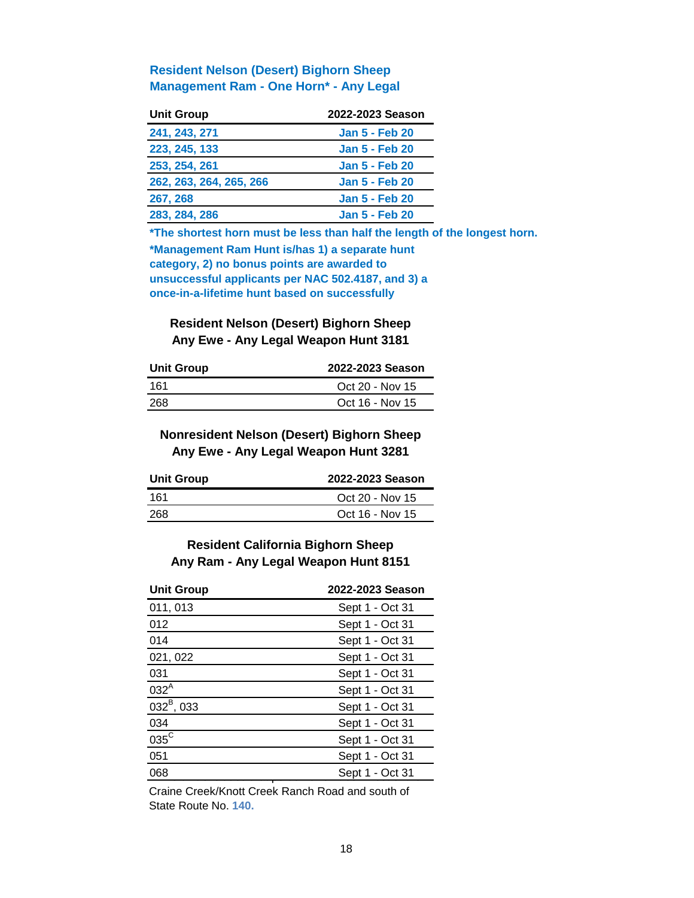## **Management Ram - One Horn\* - Any Legal Resident Nelson (Desert) Bighorn Sheep**

| <b>Unit Group</b>       | 2022-2023 Season      |
|-------------------------|-----------------------|
| 241, 243, 271           | <b>Jan 5 - Feb 20</b> |
| 223, 245, 133           | <b>Jan 5 - Feb 20</b> |
| 253, 254, 261           | <b>Jan 5 - Feb 20</b> |
| 262, 263, 264, 265, 266 | <b>Jan 5 - Feb 20</b> |
| 267, 268                | <b>Jan 5 - Feb 20</b> |
| 283, 284, 286           | <b>Jan 5 - Feb 20</b> |

**\*The shortest horn must be less than half the length of the longest horn.** 

**\*Management Ram Hunt is/has 1) a separate hunt category, 2) no bonus points are awarded to unsuccessful applicants per NAC 502.4187, and 3) a once-in-a-lifetime hunt based on successfully** 

#### **Resident Nelson (Desert) Bighorn Sheep Any Ewe - Any Legal Weapon Hunt 3181**

| <b>Unit Group</b> | 2022-2023 Season |  |
|-------------------|------------------|--|
| 161               | Oct 20 - Nov 15  |  |
| 268               | Oct 16 - Nov 15  |  |

## **Nonresident Nelson (Desert) Bighorn Sheep Any Ewe - Any Legal Weapon Hunt 3281**

| <b>Unit Group</b> | 2022-2023 Season |
|-------------------|------------------|
| 161               | Oct 20 - Nov 15  |
| 268               | Oct 16 - Nov 15  |

## **Any Ram - Any Legal Weapon Hunt 8151 Resident California Bighorn Sheep**

| <b>Unit Group</b> | 2022-2023 Season |
|-------------------|------------------|
| 011, 013          | Sept 1 - Oct 31  |
| 012               | Sept 1 - Oct 31  |
| 014               | Sept 1 - Oct 31  |
| 021, 022          | Sept 1 - Oct 31  |
| 031               | Sept 1 - Oct 31  |
| 032 <sup>A</sup>  | Sept 1 - Oct 31  |
| $032^B$ , 033     | Sept 1 - Oct 31  |
| 034               | Sept 1 - Oct 31  |
| $035^{\circ}$     | Sept 1 - Oct 31  |
| 051               | Sept 1 - Oct 31  |
| 068               | Sept 1 - Oct 31  |
|                   |                  |

Craine Creek/Knott Creek Ranch Road and south of State Route No. **140.**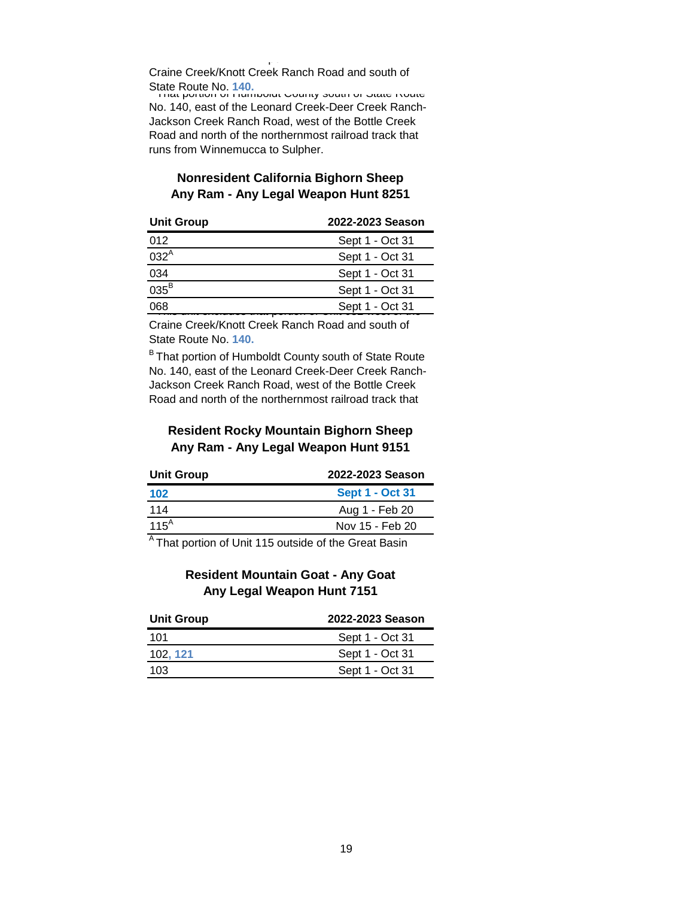po Craine Creek/Knott Creek Ranch Road and south of State Route No. 140.<br>**That portion of Humboldt County south of Grace Route** 

No. 140, east of the Leonard Creek-Deer Creek Ranch-Jackson Creek Ranch Road, west of the Bottle Creek Road and north of the northernmost railroad track that runs from Winnemucca to Sulpher.

## **Any Ram - Any Legal Weapon Hunt 8251 Nonresident California Bighorn Sheep**

| <b>Unit Group</b> | 2022-2023 Season |  |
|-------------------|------------------|--|
| 012               | Sept 1 - Oct 31  |  |
| $032^A$           | Sept 1 - Oct 31  |  |
| 034               | Sept 1 - Oct 31  |  |
| $035^B$           | Sept 1 - Oct 31  |  |
| 068               | Sept 1 - Oct 31  |  |

Craine Creek/Knott Creek Ranch Road and south of State Route No. **140.** 

B That portion of Humboldt County south of State Route No. 140, east of the Leonard Creek-Deer Creek Ranch-Jackson Creek Ranch Road, west of the Bottle Creek Road and north of the northernmost railroad track that

## **Resident Rocky Mountain Bighorn Sheep Resident Rocky Mountain Bighorn Sheep Any Ram - Any Legal Weapon Hunt 9151**

| <b>Unit Group</b> | 2022-2023 Season       |  |
|-------------------|------------------------|--|
| 102               | <b>Sept 1 - Oct 31</b> |  |
| 114               | Aug 1 - Feb 20         |  |
| $115^A$           | Nov 15 - Feb 20        |  |
|                   |                        |  |

<sup>A</sup> That portion of Unit 115 outside of the Great Basin

## **Any Legal Weapon Hunt 7151 Resident Mountain Goat - Any Goat**

| <b>Unit Group</b> | 2022-2023 Season |
|-------------------|------------------|
| 101               | Sept 1 - Oct 31  |
| 102, 121          | Sept 1 - Oct 31  |
| 103               | Sept 1 - Oct 31  |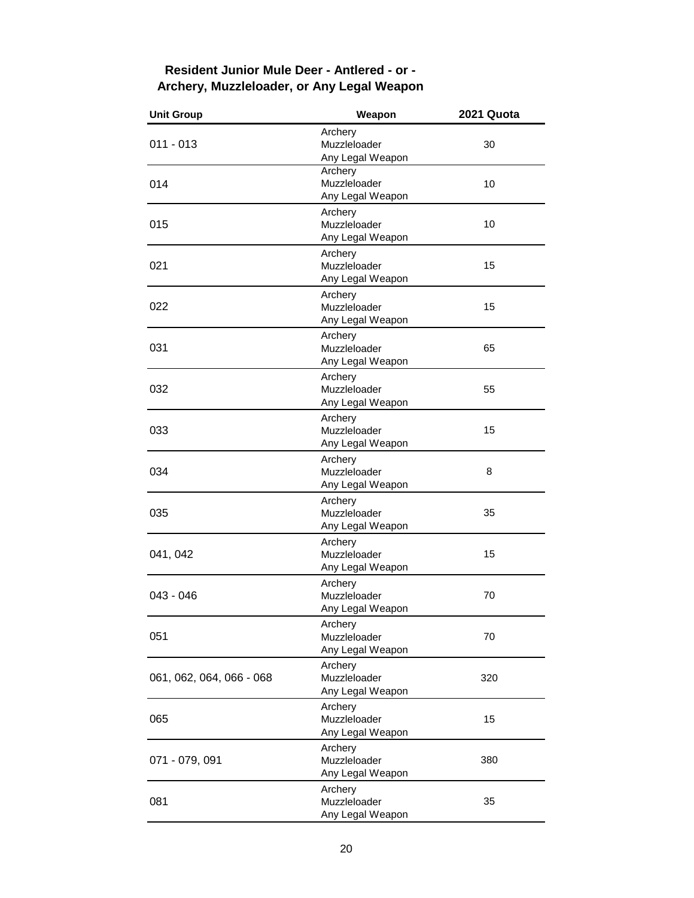## **Resident Junior Mule Deer - Antlered - or - Archery, Muzzleloader, or Any Legal Weapon**

| <b>Unit Group</b>        | Weapon                                      | 2021 Quota |
|--------------------------|---------------------------------------------|------------|
| $011 - 013$              | Archery<br>Muzzleloader<br>Any Legal Weapon | 30         |
| 014                      | Archery<br>Muzzleloader<br>Any Legal Weapon | 10         |
| 015                      | Archery<br>Muzzleloader<br>Any Legal Weapon | 10         |
| 021                      | Archery<br>Muzzleloader<br>Any Legal Weapon | 15         |
| 022                      | Archery<br>Muzzleloader<br>Any Legal Weapon | 15         |
| 031                      | Archery<br>Muzzleloader<br>Any Legal Weapon | 65         |
| 032                      | Archery<br>Muzzleloader<br>Any Legal Weapon | 55         |
| 033                      | Archery<br>Muzzleloader<br>Any Legal Weapon | 15         |
| 034                      | Archery<br>Muzzleloader<br>Any Legal Weapon | 8          |
| 035                      | Archery<br>Muzzleloader<br>Any Legal Weapon | 35         |
| 041, 042                 | Archery<br>Muzzleloader<br>Any Legal Weapon | 15         |
| $043 - 046$              | Archery<br>Muzzleloader<br>Any Legal Weapon | 70         |
| 051                      | Archery<br>Muzzleloader<br>Any Legal Weapon | 70         |
| 061, 062, 064, 066 - 068 | Archery<br>Muzzleloader<br>Any Legal Weapon | 320        |
| 065                      | Archery<br>Muzzleloader<br>Any Legal Weapon | 15         |
| 071 - 079, 091           | Archery<br>Muzzleloader<br>Any Legal Weapon | 380        |
| 081                      | Archery<br>Muzzleloader<br>Any Legal Weapon | 35         |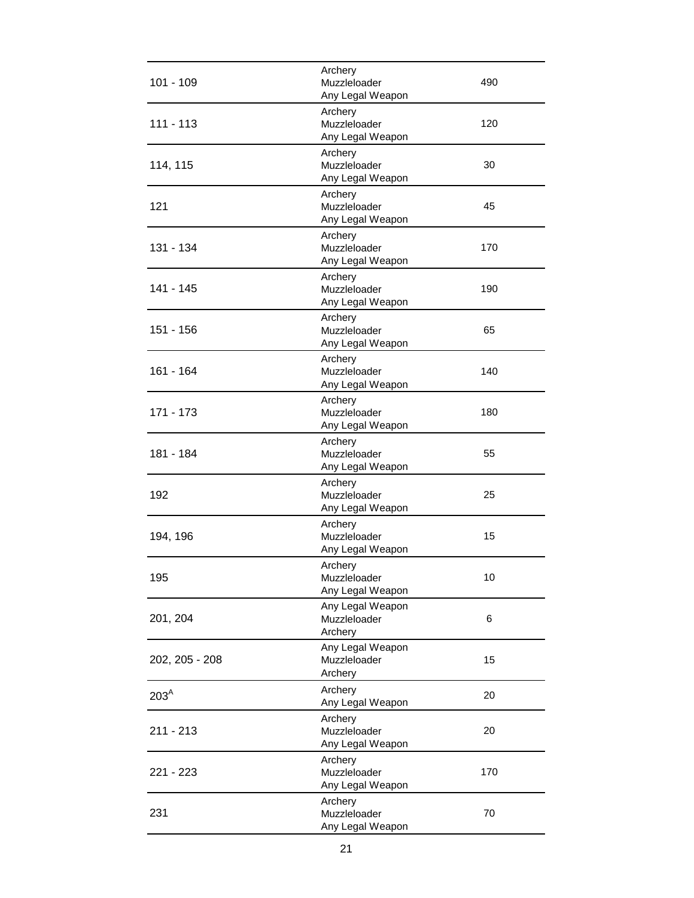| 101 - 109        | Archery<br>Muzzleloader<br>Any Legal Weapon | 490 |
|------------------|---------------------------------------------|-----|
| $111 - 113$      | Archery<br>Muzzleloader<br>Any Legal Weapon | 120 |
| 114, 115         | Archery<br>Muzzleloader<br>Any Legal Weapon | 30  |
| 121              | Archery<br>Muzzleloader<br>Any Legal Weapon | 45  |
| 131 - 134        | Archery<br>Muzzleloader<br>Any Legal Weapon | 170 |
| 141 - 145        | Archery<br>Muzzleloader<br>Any Legal Weapon | 190 |
| 151 - 156        | Archery<br>Muzzleloader<br>Any Legal Weapon | 65  |
| 161 - 164        | Archery<br>Muzzleloader<br>Any Legal Weapon | 140 |
| 171 - 173        | Archery<br>Muzzleloader<br>Any Legal Weapon | 180 |
| 181 - 184        | Archery<br>Muzzleloader<br>Any Legal Weapon | 55  |
| 192              | Archery<br>Muzzleloader<br>Any Legal Weapon | 25  |
| 194, 196         | Archery<br>Muzzleloader<br>Any Legal Weapon | 15  |
| 195              | Archery<br>Muzzleloader<br>Any Legal Weapon | 10  |
| 201, 204         | Any Legal Weapon<br>Muzzleloader<br>Archery | 6   |
| 202, 205 - 208   | Any Legal Weapon<br>Muzzleloader<br>Archery | 15  |
| 203 <sup>A</sup> | Archery<br>Any Legal Weapon                 | 20  |
| 211 - 213        | Archery<br>Muzzleloader<br>Any Legal Weapon | 20  |
| 221 - 223        | Archery<br>Muzzleloader<br>Any Legal Weapon | 170 |
| 231              | Archery<br>Muzzleloader<br>Any Legal Weapon | 70  |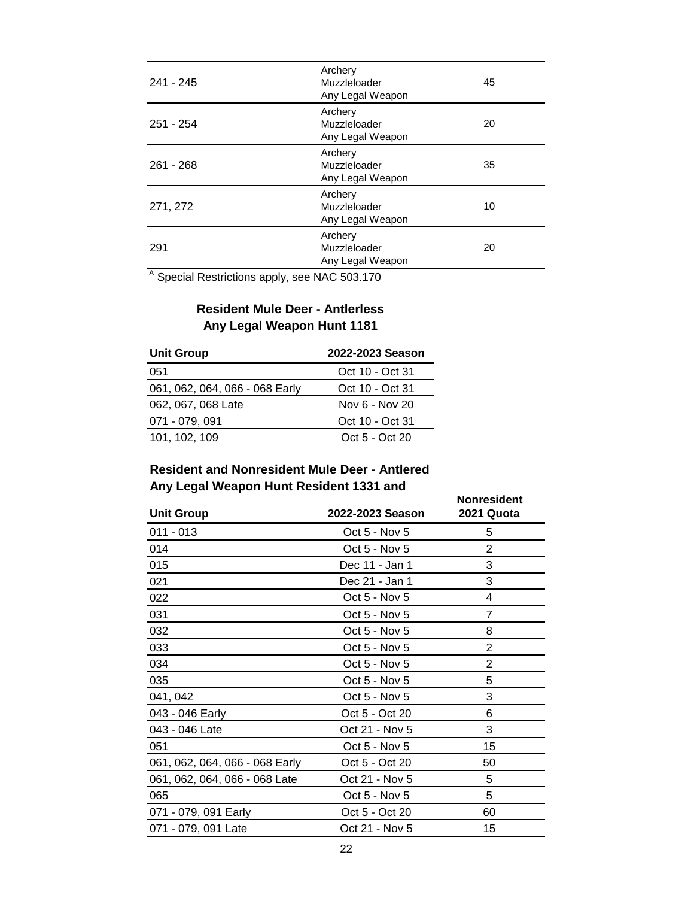| $241 - 245$ | Archery<br>Muzzleloader<br>Any Legal Weapon | 45 |
|-------------|---------------------------------------------|----|
| 251 - 254   | Archery<br>Muzzleloader<br>Any Legal Weapon | 20 |
| $261 - 268$ | Archery<br>Muzzleloader<br>Any Legal Weapon | 35 |
| 271, 272    | Archery<br>Muzzleloader<br>Any Legal Weapon | 10 |
| 291         | Archery<br>Muzzleloader<br>Any Legal Weapon | 20 |

<sup>A</sup> Special Restrictions apply, see NAC 503.170

## **Any Legal Weapon Hunt 1181 Resident Mule Deer - Antlerless**

| <b>Unit Group</b>              | 2022-2023 Season |
|--------------------------------|------------------|
| 051                            | Oct 10 - Oct 31  |
| 061, 062, 064, 066 - 068 Early | Oct 10 - Oct 31  |
| 062, 067, 068 Late             | Nov 6 - Nov 20   |
| 071 - 079, 091                 | Oct 10 - Oct 31  |
| 101, 102, 109                  | Oct 5 - Oct 20   |

## **Any Legal Weapon Hunt Resident 1331 and Resident and Nonresident Mule Deer - Antlered**

| <b>Unit Group</b>              | 2022-2023 Season | <b>Nonresident</b><br>2021 Quota |
|--------------------------------|------------------|----------------------------------|
| $011 - 013$                    | Oct 5 - Nov 5    | 5                                |
| 014                            | Oct 5 - Nov 5    | 2                                |
| 015                            | Dec 11 - Jan 1   | 3                                |
| 021                            | Dec 21 - Jan 1   | 3                                |
| 022                            | Oct 5 - Nov 5    | 4                                |
| 031                            | Oct 5 - Nov 5    | $\overline{7}$                   |
| 032                            | Oct 5 - Nov 5    | 8                                |
| 033                            | Oct 5 - Nov 5    | $\overline{2}$                   |
| 034                            | Oct 5 - Nov 5    | $\overline{2}$                   |
| 035                            | Oct 5 - Nov 5    | 5                                |
| 041, 042                       | Oct 5 - Nov 5    | 3                                |
| 043 - 046 Early                | Oct 5 - Oct 20   | 6                                |
| 043 - 046 Late                 | Oct 21 - Nov 5   | 3                                |
| 051                            | Oct 5 - Nov 5    | 15                               |
| 061, 062, 064, 066 - 068 Early | Oct 5 - Oct 20   | 50                               |
| 061, 062, 064, 066 - 068 Late  | Oct 21 - Nov 5   | 5                                |
| 065                            | Oct 5 - Nov 5    | 5                                |
| 071 - 079, 091 Early           | Oct 5 - Oct 20   | 60                               |
| 071 - 079, 091 Late            | Oct 21 - Nov 5   | 15                               |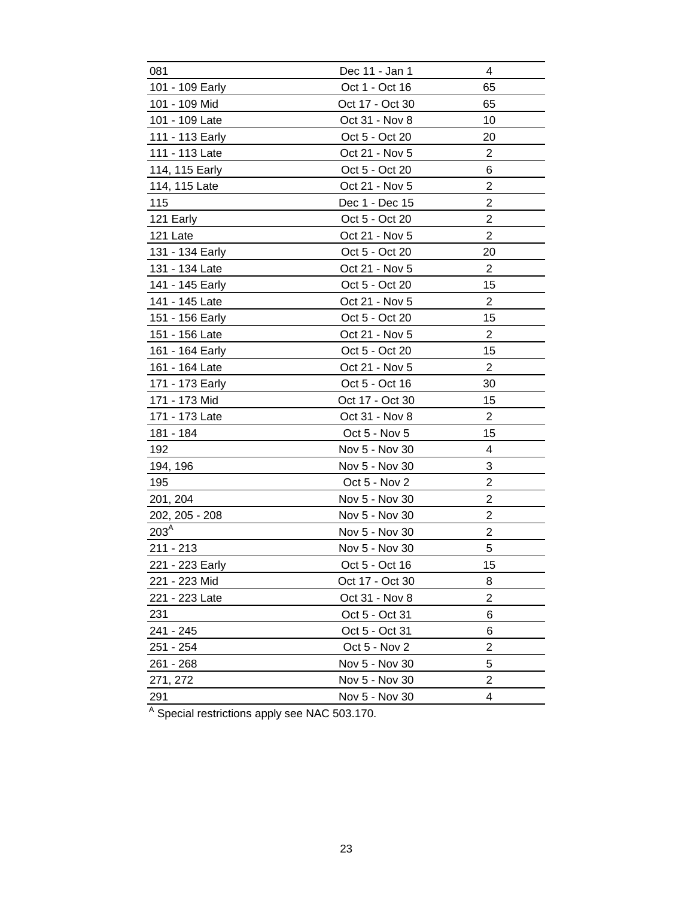| 081              | Dec 11 - Jan 1  | 4              |
|------------------|-----------------|----------------|
| 101 - 109 Early  | Oct 1 - Oct 16  | 65             |
| 101 - 109 Mid    | Oct 17 - Oct 30 | 65             |
| 101 - 109 Late   | Oct 31 - Nov 8  | 10             |
| 111 - 113 Early  | Oct 5 - Oct 20  | 20             |
| 111 - 113 Late   | Oct 21 - Nov 5  | 2              |
| 114, 115 Early   | Oct 5 - Oct 20  | 6              |
| 114, 115 Late    | Oct 21 - Nov 5  | $\overline{c}$ |
| 115              | Dec 1 - Dec 15  | $\overline{2}$ |
| 121 Early        | Oct 5 - Oct 20  | 2              |
| 121 Late         | Oct 21 - Nov 5  | $\overline{2}$ |
| 131 - 134 Early  | Oct 5 - Oct 20  | 20             |
| 131 - 134 Late   | Oct 21 - Nov 5  | 2              |
| 141 - 145 Early  | Oct 5 - Oct 20  | 15             |
| 141 - 145 Late   | Oct 21 - Nov 5  | 2              |
| 151 - 156 Early  | Oct 5 - Oct 20  | 15             |
| 151 - 156 Late   | Oct 21 - Nov 5  | $\overline{c}$ |
| 161 - 164 Early  | Oct 5 - Oct 20  | 15             |
| 161 - 164 Late   | Oct 21 - Nov 5  | 2              |
| 171 - 173 Early  | Oct 5 - Oct 16  | 30             |
| 171 - 173 Mid    | Oct 17 - Oct 30 | 15             |
| 171 - 173 Late   | Oct 31 - Nov 8  | $\overline{c}$ |
| 181 - 184        | Oct 5 - Nov 5   | 15             |
| 192              | Nov 5 - Nov 30  | 4              |
| 194, 196         | Nov 5 - Nov 30  | 3              |
| 195              | Oct 5 - Nov 2   | $\overline{c}$ |
| 201, 204         | Nov 5 - Nov 30  | $\overline{c}$ |
| 202, 205 - 208   | Nov 5 - Nov 30  | $\overline{2}$ |
| 203 <sup>A</sup> | Nov 5 - Nov 30  | $\overline{2}$ |
| $211 - 213$      | Nov 5 - Nov 30  | 5              |
| 221 - 223 Early  | Oct 5 - Oct 16  | 15             |
| 221 - 223 Mid    | Oct 17 - Oct 30 | 8              |
| 221 - 223 Late   | Oct 31 - Nov 8  | $\overline{2}$ |
| 231              | Oct 5 - Oct 31  | 6              |
| 241 - 245        | Oct 5 - Oct 31  | 6              |
| 251 - 254        | Oct 5 - Nov 2   | $\overline{c}$ |
| 261 - 268        | Nov 5 - Nov 30  | 5              |
| 271, 272         | Nov 5 - Nov 30  | 2              |
| 291              | Nov 5 - Nov 30  | 4              |

<sup>A</sup> Special restrictions apply see NAC 503.170.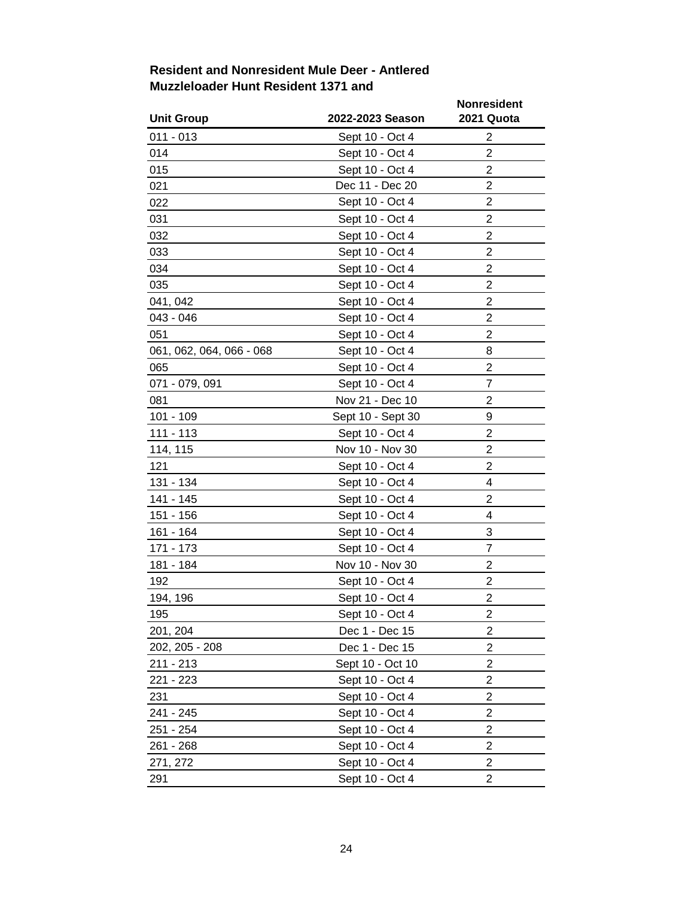## **Resident and Nonresident Mule Deer - Antlered Muzzleloader Hunt Resident 1371 and**

| <b>Unit Group</b>        | 2022-2023 Season  | <b>Nonresident</b><br>2021 Quota |
|--------------------------|-------------------|----------------------------------|
| $011 - 013$              | Sept 10 - Oct 4   | 2                                |
| 014                      | Sept 10 - Oct 4   | $\overline{2}$                   |
| 015                      | Sept 10 - Oct 4   | $\overline{c}$                   |
| 021                      | Dec 11 - Dec 20   | $\overline{2}$                   |
| 022                      | Sept 10 - Oct 4   | $\overline{2}$                   |
| 031                      | Sept 10 - Oct 4   | $\overline{2}$                   |
| 032                      | Sept 10 - Oct 4   | $\overline{2}$                   |
| 033                      | Sept 10 - Oct 4   | 2                                |
| 034                      | Sept 10 - Oct 4   | $\overline{2}$                   |
| 035                      | Sept 10 - Oct 4   | 2                                |
| 041, 042                 | Sept 10 - Oct 4   | $\overline{2}$                   |
| 043 - 046                | Sept 10 - Oct 4   | $\overline{c}$                   |
| 051                      | Sept 10 - Oct 4   | 2                                |
| 061, 062, 064, 066 - 068 | Sept 10 - Oct 4   | 8                                |
| 065                      | Sept 10 - Oct 4   | $\overline{c}$                   |
| 071 - 079, 091           | Sept 10 - Oct 4   | $\overline{7}$                   |
| 081                      | Nov 21 - Dec 10   | $\overline{c}$                   |
| 101 - 109                | Sept 10 - Sept 30 | 9                                |
| $111 - 113$              | Sept 10 - Oct 4   | $\overline{c}$                   |
| 114, 115                 | Nov 10 - Nov 30   | $\overline{2}$                   |
| 121                      | Sept 10 - Oct 4   | $\overline{2}$                   |
| 131 - 134                | Sept 10 - Oct 4   | 4                                |
| 141 - 145                | Sept 10 - Oct 4   | $\overline{2}$                   |
| 151 - 156                | Sept 10 - Oct 4   | 4                                |
| 161 - 164                | Sept 10 - Oct 4   | 3                                |
| 171 - 173                | Sept 10 - Oct 4   | 7                                |
| 181 - 184                | Nov 10 - Nov 30   | $\overline{\mathbf{c}}$          |
| 192                      | Sept 10 - Oct 4   | $\overline{2}$                   |
| 194, 196                 | Sept 10 - Oct 4   | $\overline{\mathbf{c}}$          |
| 195                      | Sept 10 - Oct 4   | $\overline{2}$                   |
| 201, 204                 | Dec 1 - Dec 15    | $\overline{2}$                   |
| 202, 205 - 208           | Dec 1 - Dec 15    | $\overline{c}$                   |
| 211 - 213                | Sept 10 - Oct 10  | $\overline{2}$                   |
| 221 - 223                | Sept 10 - Oct 4   | 2                                |
| 231                      | Sept 10 - Oct 4   | 2                                |
| 241 - 245                | Sept 10 - Oct 4   | 2                                |
| 251 - 254                | Sept 10 - Oct 4   | $\overline{2}$                   |
| 261 - 268                | Sept 10 - Oct 4   | $\overline{2}$                   |
| 271, 272                 | Sept 10 - Oct 4   | $\overline{2}$                   |
| 291                      | Sept 10 - Oct 4   | 2                                |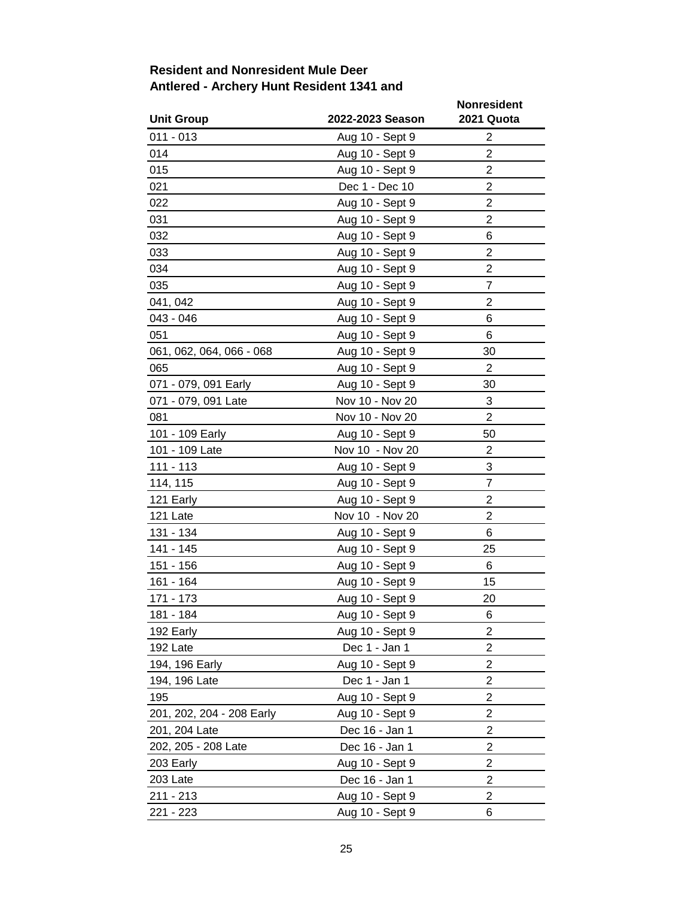## **Antlered - Archery Hunt Resident 1341 and Resident and Nonresident Mule Deer**

| <b>Unit Group</b>         | 2022-2023 Season | <b>Nonresident</b><br>2021 Quota |
|---------------------------|------------------|----------------------------------|
| $011 - 013$               | Aug 10 - Sept 9  | 2                                |
| 014                       | Aug 10 - Sept 9  | 2                                |
| 015                       | Aug 10 - Sept 9  | 2                                |
| 021                       | Dec 1 - Dec 10   | $\overline{2}$                   |
| 022                       | Aug 10 - Sept 9  | $\overline{2}$                   |
| 031                       | Aug 10 - Sept 9  | $\overline{2}$                   |
| 032                       | Aug 10 - Sept 9  | 6                                |
| 033                       | Aug 10 - Sept 9  | 2                                |
| 034                       | Aug 10 - Sept 9  | $\overline{\mathbf{c}}$          |
| 035                       | Aug 10 - Sept 9  | 7                                |
| 041, 042                  | Aug 10 - Sept 9  | $\overline{2}$                   |
| 043 - 046                 | Aug 10 - Sept 9  | 6                                |
| 051                       | Aug 10 - Sept 9  | 6                                |
| 061, 062, 064, 066 - 068  | Aug 10 - Sept 9  | 30                               |
| 065                       | Aug 10 - Sept 9  | 2                                |
| 071 - 079, 091 Early      | Aug 10 - Sept 9  | 30                               |
| 071 - 079, 091 Late       | Nov 10 - Nov 20  | 3                                |
| 081                       | Nov 10 - Nov 20  | $\overline{2}$                   |
| 101 - 109 Early           | Aug 10 - Sept 9  | 50                               |
| 101 - 109 Late            | Nov 10 - Nov 20  | $\overline{2}$                   |
| $111 - 113$               | Aug 10 - Sept 9  | 3                                |
| 114, 115                  | Aug 10 - Sept 9  | $\boldsymbol{7}$                 |
| 121 Early                 | Aug 10 - Sept 9  | $\overline{2}$                   |
| 121 Late                  | Nov 10 - Nov 20  | 2                                |
| 131 - 134                 | Aug 10 - Sept 9  | 6                                |
| 141 - 145                 | Aug 10 - Sept 9  | 25                               |
| 151 - 156                 | Aug 10 - Sept 9  | 6                                |
| 161 - 164                 | Aug 10 - Sept 9  | 15                               |
| 171 - 173                 | Aug 10 - Sept 9  | 20                               |
| 181 - 184                 | Aug 10 - Sept 9  | 6                                |
| 192 Early                 | Aug 10 - Sept 9  | $\overline{2}$                   |
| 192 Late                  | Dec 1 - Jan 1    | $\overline{2}$                   |
| 194, 196 Early            | Aug 10 - Sept 9  | $\overline{2}$                   |
| 194, 196 Late             | Dec 1 - Jan 1    | 2                                |
| 195                       | Aug 10 - Sept 9  | $\overline{2}$                   |
| 201, 202, 204 - 208 Early | Aug 10 - Sept 9  | $\overline{\mathbf{c}}$          |
| 201, 204 Late             | Dec 16 - Jan 1   | $\overline{c}$                   |
| 202, 205 - 208 Late       | Dec 16 - Jan 1   | $\overline{\mathbf{c}}$          |
| 203 Early                 | Aug 10 - Sept 9  | 2                                |
| 203 Late                  | Dec 16 - Jan 1   | $\overline{c}$                   |
| $211 - 213$               | Aug 10 - Sept 9  | 2                                |
| 221 - 223                 | Aug 10 - Sept 9  | 6                                |